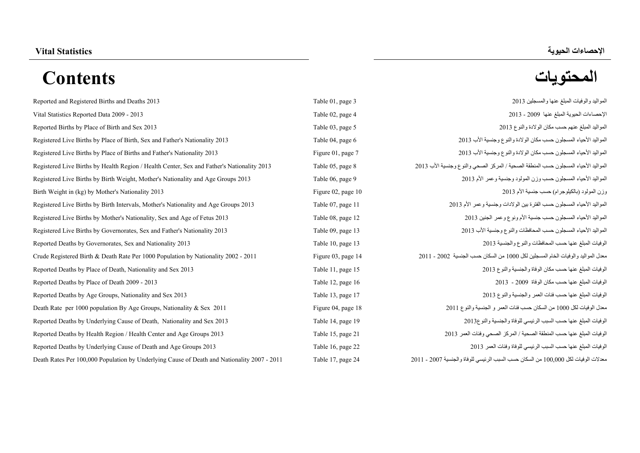# **اإلحصاءات الحيوية Statistics Vital المحتويات Contents**

[Reported and Registered Births and Deaths 2013 Table 01, page 3 2013](#page-2-0) Vital Statistics Reported Data 2009 - 2013 **Table 02, page 4 2013** Table 02, page 4 2013 [Reported Births by Place of Birth and Sex 2013 Table 03, page 5 2013](#page-4-0) Registered Live Births by Place of Birth, Sex and Father's Nationality 2013 Table 04, page [Registered Live Births by Place of Births and Father's Nationality 2013 Figure 01, page 7 2013](#page-6-0) Registered Live Births by Health Region / Health Center, Sex and Father's Nationality 2013 Table 05, page Registered Live Births by Birth Weight, Mother's Nationality and Age Groups 2013 Table 06, page [Birth Weight in \(kg\) by Mother's Nationality 2013 Figure 02, page 10 2013](#page-9-0) Registered Live Births by Birth Intervals, Mother's Nationality and Age Groups 2013 Table 07, page [Registered Live Births by Mother's Nationality, Sex and Age of Fetus 2013 Table 08, page 12 2013](#page-11-0) Registered Live Births by Governorates, Sex and Father's Nationality 2013 Table 09, page 13 2013 [Reported Deaths by Governorates, Sex and Nationality 2013 Table 10, page 13 2013](#page-12-0) Crude Registered Birth & Death Rate Per 1000 Population by Nationality 2002 - 2011 Figure 03, page 15 2011 Reported Deaths by Place of Death, Nationality and Sex 2013 Table 11, page 15 2014 11, page 15 2014 11, page 15 2014 Reported Deaths by Place of Death 2009 - 2013 Table 12, page 16 2014 16 2014 16 2014 16 2014 16 2014 16 2014 16 2014 Reported Deaths by Age Groups, Nationality and Sex 2013 Table 13, page 17 2014 17 2014 17 2014 17 2014 17 2014 17 2014 17 2014 17 2014 17 2014 17 2016 17 2016 17 2016 17 2016 17 2016 17 2016 17 2016 17 2016 17 2016 17 2016 Death Rate per 1000 population By Age Groups, Nationality & Sex 2011 Figure 04, page 04, page 04, page 81, Page By Age By population 1000 per Rate Death Pierre Death Pierre Death Pierre Death Pierre Death Pierre Death Pier Reported Deaths by Underlying Cause of Death, Nationality and Sex 2013 Table 14, page [Reported Deaths by Health Region / Health Center and Age Groups 2013 Table 15, page 21 2013](#page-20-0) [Reported Deaths by Underlying Cause of Death and Age Groups 2013 Table 16, page 22 2013](#page-21-0) Death Rates Per 100,000 Population by Underlying Cause of Death and Nationality 2007 - 2011 Table 17, page

| المو اليد و الو فيات المبلغ عنها و المسجلين 2013                                          | e <sub>3</sub> |
|-------------------------------------------------------------------------------------------|----------------|
| الإحصاءات الحيوية المبلغ عنها 2009 - 2013                                                 | e 4            |
| المو اليد المبلغ عنهم حسب مكان الو لادة و النو ع 2013                                     | e 5            |
| المو اليد الأحياء المسجلون حسب مكان الو لادة و النو ع و جنسية الأب 2013                   | e 6            |
| المو اليد الأحياء المسجلون حسب مكان الو لادة و النو ع و جنسية الأب 2013                   | ze 7           |
| المو اليد الأحياء المسجلون حسب المنطقة الصحية / المر كز  الصحى و النو ع و جنسية الأب 2013 | e 8            |
| المواليد الأحياء المسجلون حسب وزن المولود وجنسية وعمر الأم 2013                           | e 9            |
| وزن المولود (بالكيلوجر ام) حسب جنسية الأم 2013                                            | ze 10          |
| المو اليد الأحياء المسجلون حسب الفتر ة بين الو لادات و جنسية و عمر   الأم 2013            | e 11           |
| المو اليد الأحياء المسجلون حسب جنسية الأم ونوع و عمر الجنين 2013                          | e 12           |
| المواليد الأحياء المسجلون حسب المحافظات والنوع وجنسية الأب 2013                           | e 13           |
| الوفيات المبلغ عنها حسب المحافظات والنوع والجنسية 2013                                    | e 13           |
| معدل المو اليد و الو فيات الخام المسجلين لكل 1000 من السكان حسب الجنسية  2002 - 2011      | ze 14          |
| الوفيات المبلغ عنها حسب مكان الوفاة والجنسية والنوع 2013                                  | e 15           |
| الوفيات المبلغ عنها حسب مكان الوفاة 2009 - 2013                                           | e 16           |
| الوفيات المبلغ عنها حسب فئات العمر والجنسية والنوع 2013                                   | e 17           |
| معدل الو فيات لكل 1000 من السكان حسب فئات العمر  و  الجنسية و النو ع 2011                 | ze 18          |
| الوفيات المبلغ عنها حسب السبب الرئيسي للوفاة والجنسية والنو 20136                         | e 19           |
| الوفيات المبلغ عنها حسب المنطقة الصحية / المركز الصحى وفئات العمر 2013                    | e 21           |
| الو فيات المبلغ عنها حسب السبب الر ئيسى للو فاة و فئات العمر 2013                         | e 22           |
| معدلات الوفيات لكل 100,000 من السكان حسب السبب الرئيسي للوفاة والجنسية 2007 - 2011        | e 24           |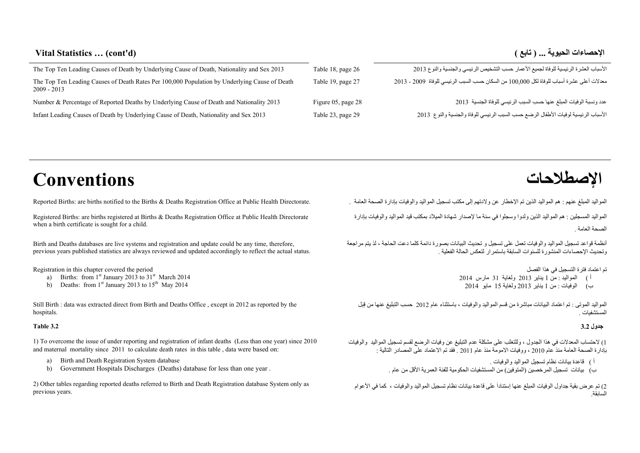# **Vital Statistics … (cont'd) ( تابع ( ... الحيوية اإلحصاءات**

| The Top Ten Leading Causes of Death by Underlying Cause of Death, Nationality and Sex 2013                     | Table 18, page 26  | الأسباب العشرة الرئيسية للوفاة لجميع الأعمار حسب التشخيص الرئيسي والجنسية والنوع 2013    |
|----------------------------------------------------------------------------------------------------------------|--------------------|------------------------------------------------------------------------------------------|
| The Top Ten Leading Causes of Death Rates Per 100,000 Population by Underlying Cause of Death<br>$2009 - 2013$ | Table 19, page 27  | معدلات أعلى عشرة أسباب للوفاة لكل 100,000 من السكان حسب السبب الرئيسي للوفاة 2009 - 2013 |
| Number & Percentage of Reported Deaths by Underlying Cause of Death and Nationality 2013                       | Figure 05, page 28 | عدد ونسبة الوفيات المبلغ عنها حسب السبب الرئيسي للوفاة الجنسية 2013                      |
| Infant Leading Causes of Death by Underlying Cause of Death, Nationality and Sex 2013                          | Table 23, page 29  | الأسباب الرئيسية لوفيات الأطفال الرضع حسب السبب الرئيسي للوفاة والجنسية والنوع 2013      |

**اإلصطالحات Conventions**

Registered Births: are births registered at Births & Deaths Registration Office at Public Health Directorate when a birth certificate is sought for a child.

Birth and Deaths databases are live systems and registration and update could be any time, therefore, previous years published statistics are always reviewed and updated accordingly to reflect the actual status.

Registration in this chapter covered the period

- a) Births: from  $1<sup>st</sup>$  January 2013 to  $31<sup>st</sup>$  March 2014
- b) Deaths: from  $1<sup>st</sup>$  January 2013 to  $15<sup>th</sup>$  May 2014

Still Birth : data was extracted direct from Birth and Deaths Office , except in 2012 as reported by the hospitals.

#### **Table 3.2**

1) To overcome the issue of under reporting and registration of infant deaths (Less than one year) since 2010 and maternal mortality since 2011 to calculate death rates in this table , data were based on:

- a) Birth and Death Registration System database
- b) Government Hospitals Discharges (Deaths) database for less than one year .

2) Other tables regarding reported deaths referred to Birth and Death Registration database System only as previous years.

المواليد المبلغ عنھم : ھم المواليد الذين تم اإلخطار عن والدتھم إلى مكتب تسجيل المواليد والوفيات بإدارة الصحة العامة . .Directorate Health Public at Office Registration Deaths & Births the to notified births are :Births Reported

المواليد المسجلين : ھم المواليد الذين ولدوا وسجلوا في سنة ما إلصدار شھادة الميالد بمكتب قيد المواليد والوفيات بإدارة .الصحة العامة

أنظمة قواعد تسجيل المواليد والوفيات تعمل على تسجيل <sup>و</sup> تحديث البيانات بصورة دائمة كلما دعت الحاجة ، لذ يتم مراجعة وتحديث اإلحصاءات المنشورة للسنوات السابقة باستمرار لتعكس الحالة الفعلية .

تم اعتماد فترة التسجيل في ھذا الفصل

- أ) المواليد : من <sup>1</sup> يناير <sup>2013</sup> ولغاية <sup>31</sup> مارس <sup>2014</sup>
- <sup>ب</sup>) الوفيات : من <sup>1</sup> يناير <sup>2013</sup> ولغاية <sup>15</sup> مايو <sup>2014</sup>

المواليد الموتى : تم اعتماد البيانات مباشرة من قسم المواليد والوفيات ، باستثناء عام <sup>2012</sup> حسب التبليغ عنھا من قِبل المستشفيات .

#### **جدول 3.2**

1) الحتساب المعدالت في ھذا الجدول ، وللتغلب على مشكلة عدم التبليغ عن وفيات الرضع لقسم تسجيل المواليد والوفيات بإدارة الصحة العامة منذ عام <sup>2010</sup> ، ووفيات االمومة منذ عام <sup>2011</sup> . فقد تم االعتماد على المصادر التالية :

- <sup>أ</sup> ) قاعدة بيانات نظام تسجيل المواليد والوفيات .
- <sup>ب</sup>) بيانات تسجيل المرخصين (المتوفين) من المستشفيات الحكومية للفئة العمرية األقل من عام .

2) تم عرض بقية جداول الوفيات المبلغ عنھا إستناداَ على قاعدة بيانات نظام تسجيل المواليد والوفيات ، كما في األعوام السابقة.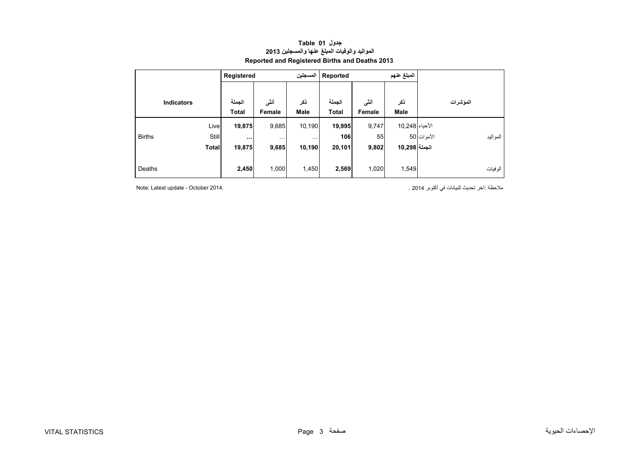<span id="page-2-0"></span>

|                   |              | Registered             |                | المسجلين             | Reported               |                | المبلغ عنهم        |                         |
|-------------------|--------------|------------------------|----------------|----------------------|------------------------|----------------|--------------------|-------------------------|
| <b>Indicators</b> |              | الجملة<br><b>Total</b> | أننى<br>Female | ذكر<br><b>Male</b>   | الجملة<br><b>Total</b> | أنشى<br>Female | ذكر<br><b>Male</b> | المؤشرات                |
|                   | Live         | 19,875                 | 9,685          | 10,190               | 19,995                 | 9,747          | الأحياء 248,10     |                         |
| <b>Births</b>     | <b>Still</b> | $\cdots$               | $\cdots$       | $\sim$ $\sim$ $\sim$ | 106                    | 55             |                    | الأموات 50<br>المو اليد |
|                   | <b>Total</b> | 19,875                 | 9,685          | 10,190               | 20,101                 | 9,802          | الجملة 10,298      |                         |
| Deaths            |              | 2,450                  | 1,000          | 1,450                | 2,569                  | 1,020          | 1,549              | الو فيات                |

#### **جدول 01 Table المواليد والوفيات المبلغ عنھا والمسجلين <sup>2013</sup> Reported and Registered Births and Deaths 2013**

ملاحظة :آخر تحديث للبيانات في أكتوبر 2014 .<br>ملاحظة :آخر تحديث للبيانات في أكتوبر 2014 .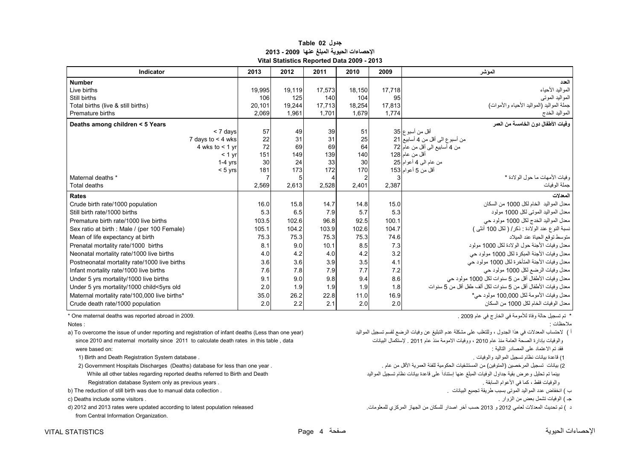#### **جدول 02 Table اإلحصاءات الحيوية المبلغ عنھا 2009 - 2013 Vital Statistics Reported Data 2009 - 2013**

<span id="page-3-0"></span>

| Indicator                                    | 2013   | 2012   | 2011   | 2010           | 2009   | المو شر                                                      |
|----------------------------------------------|--------|--------|--------|----------------|--------|--------------------------------------------------------------|
| <b>Number</b>                                |        |        |        |                |        | العدد                                                        |
| Live births                                  | 19,995 | 19.119 | 17,573 | 18,150         | 17,718 | المواليد الأحياء                                             |
| Still births                                 | 106    | 125    | 140    | 104            | 95     | المواليد الموتبي                                             |
| Total births (live & still births)           | 20.101 | 19.244 | 17.713 | 18.254         | 17.813 | جملة المواليد (المواليد الأحياء والأموات)                    |
| Premature births                             | 2,069  | 1,961  | 1.701  | 1.679          | 1.774  | المواليد الخدج                                               |
| Deaths among children < 5 Years              |        |        |        |                |        | و فيات الأطفال دو ن الخامسة من العمر                         |
| $< 7$ days                                   | 57     | 49     | 39     | 51             |        | أقل من أسبوع 35                                              |
| 7 days to $<$ 4 wks                          | 22     | 31     | 31     | 25             |        | من أسبوع الى أقل من 4 أسابيع 21                              |
| 4 wks to $<$ 1 yr                            | 72     | 69     | 69     | 64             |        | من 4 أسابيع الى أقل من عام 72                                |
| $< 1$ yr                                     | 151    | 149    | 139    | 140            |        | أقل من عام 128                                               |
| $1-4$ yrs                                    | 30     | 24     | 33     | 30             |        | من عام الى 4 أعوام 25                                        |
| $< 5$ yrs                                    | 181    | 173    | 172    | 170            |        | أقل من 5 أعو ام 153                                          |
| Maternal deaths *                            |        | 5      |        | $\overline{c}$ |        | وفيات الأمهات ما حول الو لادة *                              |
| Total deaths                                 | 2,569  | 2,613  | 2,528  | 2,401          | 2,387  | جملة الوفيات                                                 |
| Rates                                        |        |        |        |                |        | المعدلات                                                     |
| Crude birth rate/1000 population             | 16.0   | 15.8   | 14.7   | 14.8           | 15.0   | معدل المواليد الخام لكل 1000 من السكان                       |
| Still birth rate/1000 births                 | 5.3    | 6.5    | 7.9    | 5.7            | 5.3    | معدل المواليد الموتى لكل 1000 مولود                          |
| Premature birth rate/1000 live births        | 103.5  | 102.6  | 96.8   | 92.5           | 100.1  | معدل المواليد الخدج لكل 1000 مولود حي                        |
| Sex ratio at birth : Male / (per 100 Female) | 105.1  | 104.2  | 103.9  | 102.6          | 104.7  | نسبة النوع عند الولادة : ذكر/ ( لكل 100 أنثى )               |
| Mean of life expectancy at birth             | 75.3   | 75.3   | 75.3   | 75.3           | 74.6   | منوسط نوقع الحياة عند الميلاد                                |
| Prenatal mortality rate/1000 births          | 8.1    | 9.0    | 10.1   | 8.5            | 7.3    | معدل وفيات الأجنة حول الولادة لكل 1000 مولود                 |
| Neonatal mortality rate/1000 live births     | 4.0    | 4.2    | 4.0    | 4.2            | 3.2    | معدل وفيات الأجنة المبكرة لكل 1000 مولود حي                  |
| Postneonatal mortality rate/1000 live births | 3.6    | 3.6    | 3.9    | 3.5            | 4.1    | معدل وفيات الأجنة المتأخرة لكل 1000 مولود حي                 |
| Infant mortality rate/1000 live births       | 7.6    | 7.8    | 7.9    | 7.7            | 7.2    | معدل وفيات الرضع لكل 1000 مولود حي                           |
| Under 5 yrs mortality/1000 live births       | 9.1    | 9.0    | 9.8    | 9.4            | 8.6    | معدل وفيات الأطفال أقل من 5 سنوات لكل 1000 مولود حي          |
| Under 5 yrs mortality/1000 child<5yrs old    | 2.0    | 1.9    | 1.9    | 1.9            | 1.8    | معدل وفيات الأطفال أقل من 5 سنوات لكل ألف طفل أقل من 5 سنوات |
| Maternal mortality rate/100,000 live births* | 35.0   | 26.2   | 22.8   | 11.0           | 16.9   | معدل وفيات الأمومة لكل 100,000 مولود حي*                     |
| Crude death rate/1000 population             | 2.0    | 2.2    | 2.1    | 2.0            | 2.0    | معدل الوفيات الخام لكل 1000 من السكان                        |

أ ) لاحتساب المعدلات في هذا الجدول ، وللتغلب على مشكلة عدم التبليغ عن وفيات الرضع لقسم تسجيل المواليد ( a) To overcome the issue of under reporting and registration of infant deaths (Less than one year) (هن الرضع لقسم تسج since 2010 and maternal mortality since 2011 to calculate death rates in this table , data البيانات (المومة منذ عام 2011 عام 2011 عام 2010 عام 2011 عام 2014 عام 2011 عام 2014 عام 2010 عام 2011 عامة الصحة الصحة بإدارة الصح

2) Government Hospitals Discharges (Deaths) database for less than one year . بينما تم تحليل وعرض بقية جداول الوفيات المبلغ عنھا إستناداَ على قاعدة بيانات نظام تسجيل المواليد Death and Birth to referred deaths reported regarding tables other all While

b) The reduction of still birth was due to manual data collection .

جـ ) الوفيات تشمل بعض من الزوار . . visitors some include Deaths) c

from Central Information Organization.

\* تم تسجيل حالة وفاة لألمومة في الخارج في عام 2009 . 2009. in abroad reported was deaths maternal One\*

مالحظات : : Notes

فقد تم الاعتماد على المصادر التالية : "من العتماد على المصادر التالية : "من العتماد على المصادر التالية : "من ا

1) قاعدة بيانات نظام تسجيل المواليد والوفيات .<br>2) بيانات تسجيل المرخصين (المتوفين) من المستشفيات الحكومية للفلة العمرية الأقل من عام . Government Hospitals Discharges (Deaths) database for less than one year Registration database System only as previous years . . السابقة األعوام في كما ، فقط والوفيات

ب

<sup>د</sup> ) تم تحديث المعدالت لعامي <sup>2012</sup> <sup>و</sup> <sup>2013</sup> حسب آخر اصدار للسكان من الجھاز المركزي للمعلومات. released population latest to according updated were rates 2013 and 2012) d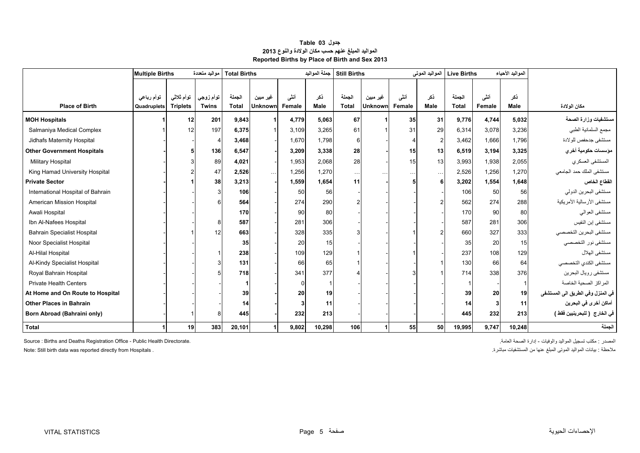<span id="page-4-0"></span>

|                                    | <b>Multiple Births</b> |                 | مو اليد متعددة | <b>Total Births</b> |                |        | جملة المواليد | <b>Still Births</b> |                |           | المواليد الموتى | <b>Live Births</b> |        | المواليد الأحياء |                                   |
|------------------------------------|------------------------|-----------------|----------------|---------------------|----------------|--------|---------------|---------------------|----------------|-----------|-----------------|--------------------|--------|------------------|-----------------------------------|
|                                    |                        |                 |                |                     |                |        |               |                     |                |           |                 |                    |        |                  |                                   |
|                                    | توأم رباعى             | توأم ثلاثى      | توأم زوجي      | الجملة              | غير مبين       | أنشى   | ذكر           | الحملة              | غير مبين       | أنشى      | ذكر             | الجملة             | أنشى   | ذكر              |                                   |
| <b>Place of Birth</b>              | Quadruplets            | <b>Triplets</b> | <b>Twins</b>   | <b>Total</b>        | <b>Unknown</b> | Female | Male          | <b>Total</b>        | <b>Unknown</b> | Female    | Male            | <b>Total</b>       | Female | Male             | مكان الولادة                      |
| <b>MOH Hospitals</b>               |                        | 12              | 201            | 9,843               |                | 4,779  | 5,063         | 67                  |                | 35        | 31              | 9,776              | 4,744  | 5.032            | مستشفيات وزارة الصحة              |
| Salmaniya Medical Complex          |                        | 12              | 197            | 6,375               |                | 3,109  | 3,265         | 61                  |                | 31        | 29              | 6,314              | 3.078  | 3,236            | مجمع السلمانية الطبي              |
| Jidhafs Maternity Hospital         |                        |                 |                | 3,468               |                | 1,670  | 1,798         | 6                   |                |           | $\overline{2}$  | 3,462              | 1.666  | 1.796            | مستشفى جدحفص للولادة              |
| <b>Other Government Hospitals</b>  |                        |                 | 136            | 6,547               |                | 3,209  | 3,338         | 28                  |                | 15        | 13              | 6,519              | 3,194  | 3,325            | مؤسسات حكومية أخر ي               |
| <b>Military Hospital</b>           |                        |                 | 89             | 4,021               |                | 1,953  | 2,068         | 28                  |                | 15        | 13              | 3,993              | 1,938  | 2,055            | المستشفى العسكري                  |
| King Hamad University Hospital     |                        |                 | 47             | 2,526               | $\cdots$       | 1,256  | 1,270         | $\ldots$            |                | $\ddotsc$ | $\ldots$        | 2,526              | 1.256  | 1.270            | مستشفى الملك حمد الجامعي          |
| <b>Private Sector</b>              |                        |                 | 38             | 3,213               |                | 1,559  | 1,654         | 11                  |                |           |                 | 3,202              | 1.554  | 1.648            | القطاع الخاص                      |
| International Hospital of Bahrain  |                        |                 |                | 106                 |                | 50     | 56            |                     |                |           |                 | 106                | 50     | 56               | مستشفى البحرين الدولي             |
| American Mission Hospital          |                        |                 |                | 564                 |                | 274    | 290           |                     |                |           |                 | 562                | 274    | 288              | مستشفى الأرسالية الأمريكية        |
| Awali Hospital                     |                        |                 |                | 170                 |                | 90     | 80            |                     |                |           |                 | 170                | 90     | 80               | مستشفى العوالي                    |
| Ibn Al-Nafees Hospital             |                        |                 | 8              | 587                 |                | 281    | 306           |                     |                |           |                 | 587                | 281    | 306              | مستشفى إبن النفيس                 |
| <b>Bahrain Specialist Hospital</b> |                        |                 | 12             | 663                 |                | 328    | 335           |                     |                |           |                 | 660                | 327    | 333              | مستشفى البحرين التخصصي            |
| Noor Specialist Hospital           |                        |                 |                | 35                  |                | 20     | 15            |                     |                |           |                 | 35                 | 20     | 15               | مستشفى نور التخصصي                |
| Al-Hilal Hospital                  |                        |                 |                | 238                 |                | 109    | 129           |                     |                |           |                 | 237                | 108    | 129              | مستشفى الهلال                     |
| Al-Kindy Specialist Hospital       |                        |                 |                | 131                 |                | 66     | 65            |                     |                |           |                 | 130                | 66     | 64               | مستشفى الكندي التخصصي             |
| Royal Bahrain Hospital             |                        |                 |                | 718                 |                | 341    | 377           |                     |                |           |                 | 714                | 338    | 376              | مستشفى رويال البحرين              |
| <b>Private Health Centers</b>      |                        |                 |                |                     |                |        |               |                     |                |           |                 |                    |        |                  | المراكز الصحية الخاصة             |
| At Home and On Route to Hospital   |                        |                 |                | 39                  |                | 20     | 19            |                     |                |           |                 | 39                 | 20     | 19               | في المنزل وفي الطريق الى المستشفى |
| <b>Other Places in Bahrain</b>     |                        |                 |                | 14                  |                |        | 11            |                     |                |           |                 | 14                 | 3      | 11               | أماكن أخرى في البحرين             |
| Born Abroad (Bahraini only)        |                        |                 |                | 445                 |                | 232    | 213           |                     |                |           |                 | 445                | 232    | 213              | في الخارج  ( للبحرينيين فقط )     |
| <b>Total</b>                       |                        | 19              | 383            | 20,101              |                | 9,802  | 10,298        | 106                 |                | 55        | 50              | 19,995             | 9,747  | 10,248           | الجملة                            |

### **جدول 03 Table المواليد المبلغ عنھم حسب مكان الوالدة والنوع <sup>2013</sup> Reported Births by Place of Birth and Sex 2013**

Source : Births and Deaths Registration Office - Public Health Directorate. .العامة الصحة إدارة - والوفيات المواليد تسجيل مكتب : المصدر

مالحظة : بيانات المواليد الموتى المبلغ عنھا من المستشفيات مباشرة. . Hospitals from directly reported was data birth Still :Note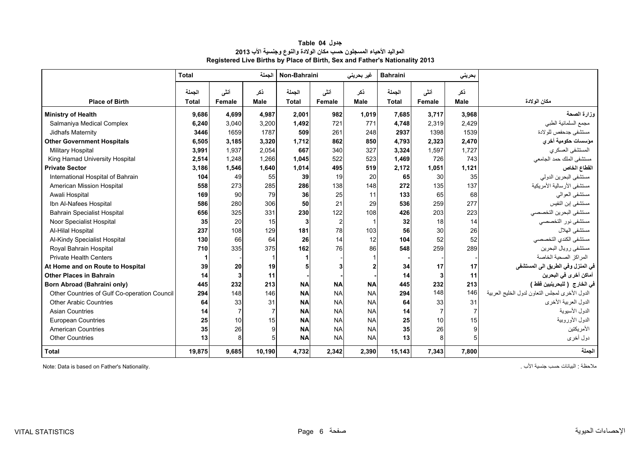<span id="page-5-0"></span>

|                                              | <b>Total</b>           |                | الحملة         | Non-Bahraini           |                | غیر بحرینی         | <b>Bahraini</b>        |                | بحرينى             |                                                |
|----------------------------------------------|------------------------|----------------|----------------|------------------------|----------------|--------------------|------------------------|----------------|--------------------|------------------------------------------------|
| <b>Place of Birth</b>                        | الجملة<br><b>Total</b> | أنشى<br>Female | ذكر<br>Male    | الجملة<br><b>Total</b> | أنشى<br>Female | ذكر<br><b>Male</b> | الجملة<br><b>Total</b> | أنشى<br>Female | ذكر<br><b>Male</b> | مكان الولادة                                   |
| <b>Ministry of Health</b>                    | 9,686                  | 4.699          | 4,987          | 2.001                  | 982            | 1,019              | 7,685                  | 3,717          | 3,968              | وزارة الصحة                                    |
| Salmaniya Medical Complex                    | 6,240                  | 3,040          | 3,200          | 1,492                  | 721            | 771                | 4,748                  | 2,319          | 2,429              | مجمع السلمانية الطبي                           |
| Jidhafs Maternity                            | 3446                   | 1659           | 1787           | 509                    | 261            | 248                | 2937                   | 1398           | 1539               | مستشفى جدحفص للولادة                           |
| <b>Other Government Hospitals</b>            | 6,505                  | 3.185          | 3,320          | 1.712                  | 862            | 850                | 4,793                  | 2.323          | 2,470              | مؤسسات حكومية أخرى                             |
| <b>Military Hospital</b>                     | 3,991                  | 1.937          | 2,054          | 667                    | 340            | 327                | 3,324                  | 1.597          | 1,727              | المستشفى العسكري                               |
| King Hamad University Hospital               | 2,514                  | 1,248          | 1,266          | 1,045                  | 522            | 523                | 1,469                  | 726            | 743                | مستشفى الملك حمد الجامعي                       |
| <b>Private Sector</b>                        | 3,186                  | 1,546          | 1,640          | 1,014                  | 495            | 519                | 2,172                  | 1,051          | 1,121              | القطاع الخاص                                   |
| International Hospital of Bahrain            | 104                    | 49             | 55             | 39                     | 19             | 20                 | 65                     | 30             | 35                 | مستشفى البحرين الدولي                          |
| American Mission Hospital                    | 558                    | 273            | 285            | 286                    | 138            | 148                | 272                    | 135            | 137                | مستشفى الأرسالية الأمريكية                     |
| Awali Hospital                               | 169                    | 90             | 79             | 36                     | 25             | 11                 | 133                    | 65             | 68                 | مستشفى العوالمي                                |
| Ibn Al-Nafees Hospital                       | 586                    | 280            | 306            | 50                     | 21             | 29                 | 536                    | 259            | 277                | مستشفى إبن النفيس                              |
| <b>Bahrain Specialist Hospital</b>           | 656                    | 325            | 331            | 230                    | 122            | 108                | 426                    | 203            | 223                | مستشفى البحرين التخصصي                         |
| Noor Specialist Hospital                     | 35                     | 20             | 15             | 3                      | $\overline{2}$ |                    | 32                     | 18             | 14                 | مستشفى نور التخصصي                             |
| Al-Hilal Hospital                            | 237                    | 108            | 129            | 181                    | 78             | 103                | 56                     | 30             | 26                 | مستشفى الهلال                                  |
| Al-Kindy Specialist Hospital                 | 130                    | 66             | 64             | 26                     | 14             | 12                 | 104                    | 52             | 52                 | مستشفى الكندي التخصصي                          |
| Royal Bahrain Hospital                       | 710                    | 335            | 375            | 162                    | 76             | 86                 | 548                    | 259            | 289                | مستشفى رويال البحرين                           |
| <b>Private Health Centers</b>                | 1                      |                |                |                        |                |                    |                        |                |                    | المر اكز الصحية الخاصة                         |
| At Home and on Route to Hospital             | 39                     | 20             | 19             |                        |                |                    | 34                     | 17             | 17                 | في المنزل وفي الطريق الى المستشفى              |
| <b>Other Places in Bahrain</b>               | 14                     | 3              | 11             |                        |                |                    | 14                     |                | 11                 | أماكن أخرى في البحرين                          |
| Born Abroad (Bahraini only)                  | 445                    | 232            | 213            | <b>NA</b>              | <b>NA</b>      | <b>NA</b>          | 445                    | 232            | 213                | في الخارج  ( للبحرينيين فقط )                  |
| Other Countries of Gulf Co-operation Council | 294                    | 148            | 146            | <b>NA</b>              | <b>NA</b>      | <b>NA</b>          | 294                    | 148            | 146                | الدول الأخرى لمجلس التعاون لدول الخليج العربية |
| Other Arabic Countries                       | 64                     | 33             | 31             | <b>NA</b>              | <b>NA</b>      | <b>NA</b>          | 64                     | 33             | 31                 | الدول العربية الأخرى                           |
| <b>Asian Countries</b>                       | 14                     | $\overline{7}$ | $\overline{7}$ | <b>NA</b>              | <b>NA</b>      | <b>NA</b>          | 14                     |                | $\overline{7}$     | الدول الأسيوية                                 |
| <b>European Countries</b>                    | 25                     | 10             | 15             | <b>NA</b>              | <b>NA</b>      | <b>NA</b>          | 25                     | 10             | 15                 | الدول الأوروبية                                |
| <b>American Countries</b>                    | 35                     | 26             | 9              | <b>NA</b>              | <b>NA</b>      | <b>NA</b>          | 35                     | 26             | 9                  | الأمر يكتين                                    |
| <b>Other Countries</b>                       | 13                     | 8              | 5              | <b>NA</b>              | <b>NA</b>      | <b>NA</b>          | 13                     |                | 5                  | دول أخرى                                       |
| <b>Total</b>                                 | 19,875                 | 9.685          | 10.190         | 4,732                  | 2,342          | 2,390              | 15,143                 | 7.343          | 7.800              | الجملة                                         |

### **جدول 04 Table المواليد األحياء المسجلون حسب مكان الوالدة والنوع وجنسية األب <sup>2013</sup> Registered Live Births by Place of Birth, Sex and Father's Nationality 2013**

Note: Data is based on Father's Nationality. . األب جنسية حسب البيانات : مالحظة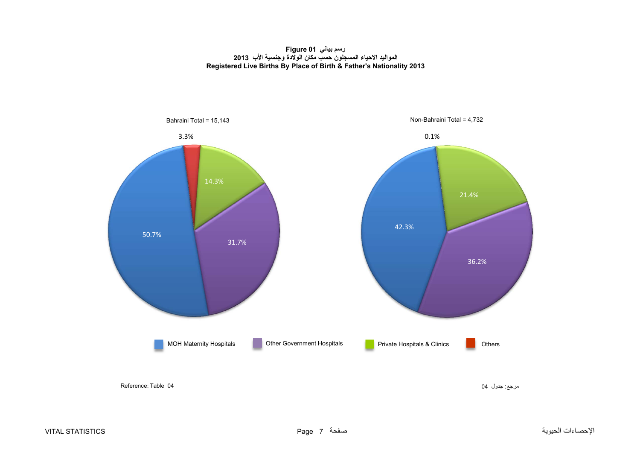**رسم بياني 01 Figure المواليد االحياء المسجلون حسب مكان الوالدة وجنسية األب <sup>2013</sup> Registered Live Births By Place of Birth & Father's Nationality 2013**

<span id="page-6-0"></span>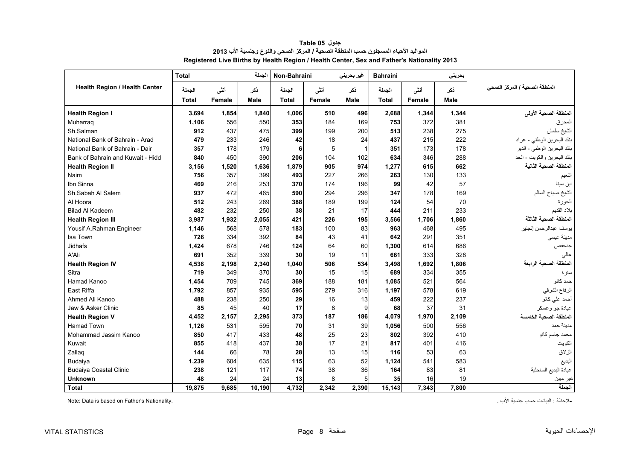<span id="page-7-0"></span>

|                                   | <b>Total</b> |        | الجملة      | Non-Bahraini |        | غیر بحرینی  | <b>Bahraini</b> |               | بحريني      |                               |
|-----------------------------------|--------------|--------|-------------|--------------|--------|-------------|-----------------|---------------|-------------|-------------------------------|
| Health Region / Health Center     | الجملة       | أنشى   | نكر         | الجملة       | أنشى   | ذكر         | الجملة          | أنشى          | نكر         | المنطقة الصحية / المركز الصحي |
|                                   | <b>Total</b> | Female | <b>Male</b> | Total        | Female | <b>Male</b> | <b>Total</b>    | <b>Female</b> | <b>Male</b> |                               |
| <b>Health Region I</b>            | 3.694        | 1,854  | 1.840       | 1.006        | 510    | 496         | 2,688           | 1,344         | 1,344       | المنطقة الصحية الأولى         |
| Muharrag                          | 1,106        | 556    | 550         | 353          | 184    | 169         | 753             | 372           | 381         | المحرق                        |
| Sh.Salman                         | 912          | 437    | 475         | 399          | 199    | 200         | 513             | 238           | 275         | الشيخ سلمان                   |
| National Bank of Bahrain - Arad   | 479          | 233    | 246         | 42           | 18     | 24          | 437             | 215           | 222         | بنك البحرين الوطني - عراد     |
| National Bank of Bahrain - Dair   | 357          | 178    | 179         | 6            | 5      | 1           | 351             | 173           | 178         | بنك البحرين الوطني - الدير    |
| Bank of Bahrain and Kuwait - Hidd | 840          | 450    | 390         | 206          | 104    | 102         | 634             | 346           | 288         | بنك البحرين والكويت - الحد    |
| <b>Health Region II</b>           | 3,156        | 1,520  | 1,636       | 1.879        | 905    | 974         | 1,277           | 615           | 662         | المنطقة الصحية الثانية        |
| Naim                              | 756          | 357    | 399         | 493          | 227    | 266         | 263             | 130           | 133         | النعيم                        |
| Ibn Sinna                         | 469          | 216    | 253         | 370          | 174    | 196         | 99              | 42            | 57          | ابن سينا                      |
| Sh.Sabah Al Salem                 | 937          | 472    | 465         | 590          | 294    | 296         | 347             | 178           | 169         | الشيخ صباح السالم             |
| Al Hoora                          | 512          | 243    | 269         | 388          | 189    | 199         | 124             | 54            | 70          | الحورة                        |
| <b>Bilad Al Kadeem</b>            | 482          | 232    | 250         | 38           | 21     | 17          | 444             | 211           | 233         | بلاد القديم                   |
| <b>Health Region III</b>          | 3,987        | 1,932  | 2,055       | 421          | 226    | 195         | 3,566           | 1,706         | 1.860       | المنطقة الصحية الثالثة        |
| Yousif A.Rahman Engineer          | 1,146        | 568    | 578         | 183          | 100    | 83          | 963             | 468           | 495         | يوسف عبدالرحمن إنجنير         |
| Isa Town                          | 726          | 334    | 392         | 84           | 43     | 41          | 642             | 291           | 351         | مدينة عيسى                    |
| Jidhafs                           | 1,424        | 678    | 746         | 124          | 64     | 60          | 1,300           | 614           | 686         | جدحفص                         |
| A'Ali                             | 691          | 352    | 339         | 30           | 19     | 11          | 661             | 333           | 328         | عالى                          |
| <b>Health Region IV</b>           | 4,538        | 2,198  | 2,340       | 1.040        | 506    | 534         | 3,498           | 1,692         | 1,806       | المنطقة الصحية الرابعة        |
| Sitra                             | 719          | 349    | 370         | 30           | 15     | 15          | 689             | 334           | 355         | ستر ۃ                         |
| Hamad Kanoo                       | 1,454        | 709    | 745         | 369          | 188    | 181         | 1,085           | 521           | 564         | حمد کانو                      |
| East Riffa                        | 1,792        | 857    | 935         | 595          | 279    | 316         | 1,197           | 578           | 619         | الرفاع الشرقي                 |
| Ahmed Ali Kanoo                   | 488          | 238    | 250         | 29           | 16     | 13          | 459             | 222           | 237         | أحمد على كانو                 |
| Jaw & Asker Clinic                | 85           | 45     | 40          | 17           | 8      | 9           | 68              | 37            | 31          | عيادة جو وعسكر                |
| <b>Health Region V</b>            | 4,452        | 2,157  | 2,295       | 373          | 187    | 186         | 4,079           | 1,970         | 2,109       | المنطقة الصحية الخامسة        |
| Hamad Town                        | 1,126        | 531    | 595         | 70           | 31     | 39          | 1,056           | 500           | 556         | مدينة حمد                     |
| Mohammad Jassim Kanoo             | 850          | 417    | 433         | 48           | 25     | 23          | 802             | 392           | 410         | محمد جاسم كانو                |
| Kuwait                            | 855          | 418    | 437         | 38           | 17     | 21          | 817             | 401           | 416         | الكويت                        |
| Zallaq                            | 144          | 66     | 78          | 28           | 13     | 15          | 116             | 53            | 63          | الزلاق                        |
| Budaiya                           | 1,239        | 604    | 635         | 115          | 63     | 52          | 1,124           | 541           | 583         | البديع                        |
| <b>Budaiya Coastal Clinic</b>     | 238          | 121    | 117         | 74           | 38     | 36          | 164             | 83            | 81          | عيادة البديع الساحلية         |
| <b>Unknown</b>                    | 48           | 24     | 24          | 13           | 8      | 5           | 35              | 16            | 19          | غير مبين                      |
| <b>Total</b>                      | 19,875       | 9,685  | 10.190      | 4,732        | 2,342  | 2,390       | 15,143          | 7,343         | 7.800       | الحملة                        |

**جدول 05 Table المواليد األحياء المسجلون حسب المنطقة الصحية / المركز الصحي والنوع وجنسية األب <sup>2013</sup> Registered Live Births by Health Region / Health Center, Sex and Father's Nationality 2013**

Note: Data is based on Father's Nationality. . األب جنسية حسب البيانات : مالحظة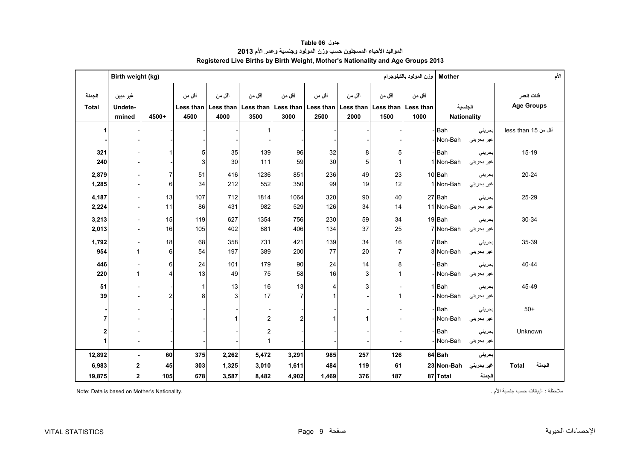<span id="page-8-0"></span>

|                        | Birth weight (kg)                      |                |                   |                                           |                |                      |                                                       |                             |                             | وزن المولود بالكيلوجرام     | <b>Mother</b>                 |                              | الأم                            |
|------------------------|----------------------------------------|----------------|-------------------|-------------------------------------------|----------------|----------------------|-------------------------------------------------------|-----------------------------|-----------------------------|-----------------------------|-------------------------------|------------------------------|---------------------------------|
| الجملة<br><b>Total</b> | غير مبين<br>Undete-<br>rmined          | 4500+          | أقل من<br>4500    | أقل من<br>Less than   Less than  <br>4000 | أقل من<br>3500 | أقل من<br>3000       | أقل من<br>Less than   Less than   Less than  <br>2500 | أقل من<br>Less than<br>2000 | أقل من<br>Less than<br>1500 | أقل من<br>Less than<br>1000 | الجنسية<br><b>Nationality</b> |                              | فنات العمر<br><b>Age Groups</b> |
| 1                      |                                        |                |                   |                                           |                |                      |                                                       |                             |                             |                             | -Bah<br>- Non-Bah             | بحريني<br>غير بحريني         | أقل من 15 less than             |
| 321<br>240             |                                        |                | 5<br>3            | 35<br>30                                  | 139<br>111     | 96<br>59             | 32<br>30                                              | 8<br>5                      | 5                           |                             | -Bah<br>1 Non-Bah             | بحريني<br>غير بحريني         | $15-19$                         |
| 2,879<br>1,285         |                                        | 7<br>6         | 51<br>34          | 416<br>212                                | 1236<br>552    | 851<br>350           | 236<br>99                                             | 49<br>19                    | 23<br>12                    |                             | 10 Bah<br>1 Non-Bah           | بحريني<br>غير بحريني         | $20 - 24$                       |
| 4,187<br>2,224         |                                        | 13<br>11       | 107<br>86         | 712<br>431                                | 1814<br>982    | 1064<br>529          | 320<br>126                                            | 90<br>34                    | 40<br>14                    |                             | 27 Bah<br>11 Non-Bah          | بحريني<br>غير بحريني         | 25-29                           |
| 3,213<br>2,013         |                                        | 15<br>16       | 119<br>105        | 627<br>402                                | 1354<br>881    | 756<br>406           | 230<br>134                                            | 59<br>37                    | 34<br>25                    |                             | 19 Bah<br>7 Non-Bah           | بحريني<br>غير بحريني         | 30-34                           |
| 1,792<br>954           |                                        | 18<br>6        | 68<br>54          | 358<br>197                                | 731<br>389     | 421<br>200           | 139<br>77                                             | 34<br>$20\,$                | 16<br>$\overline{7}$        |                             | 7Bah<br>3 Non-Bah             | بحريني<br>غير بحريني         | 35-39                           |
| 446<br>220             |                                        | 6<br>4         | 24<br>13          | 101<br>49                                 | 179<br>75      | 90<br>58             | 24<br>16                                              | 14<br>3                     | 8                           |                             | - Bah<br>- Non-Bah            | بحريني<br>غير بحريني         | 40-44                           |
| 51<br>39               |                                        | $\overline{c}$ | $\mathbf{1}$<br>8 | 13<br>$\overline{3}$                      | 16<br>17       | 13<br>$\overline{7}$ | 4                                                     | $\overline{3}$              |                             |                             | 1 Bah<br>- Non-Bah            | بحريني<br>غير بحريني         | 45-49                           |
| $\overline{7}$         |                                        |                |                   |                                           | $\overline{c}$ |                      |                                                       |                             |                             |                             | -Bah<br>- Non-Bah             | بحريني<br>غير بحريني         | $50+$                           |
| 2<br>1                 |                                        |                |                   |                                           | 2              |                      |                                                       |                             |                             |                             | -Bah<br>-Non-Bah              | بحريني<br>غير بحريني         | Unknown                         |
| 12,892                 |                                        | 60             | 375               | 2,262                                     | 5,472          | 3,291                | 985                                                   | 257                         | 126                         |                             | 64 Bah                        | بحريني                       |                                 |
| 6,983<br>19,875        | $\mathbf 2$<br>$\overline{\mathbf{c}}$ | 45<br>105      | 303<br>678        | 1,325<br>3,587                            | 3,010<br>8,482 | 1,611<br>4,902       | 484<br>1,469                                          | 119<br>376                  | 61<br>187                   |                             | 23 Non-Bah<br>87 Total        | غیر بحرین <i>ی</i><br>الجملة | الجملة<br><b>Total</b>          |

**جدول 06 Table المواليد األحياء المسجلون حسب وزن المولود وجنسية وعمر األم<sup>2013</sup> Registered Live Births by Birth Weight, Mother's Nationality and Age Groups 2013**

Note: Data is based on Mother's Nationality. . األم جنسية حسب البيانات : مالحظة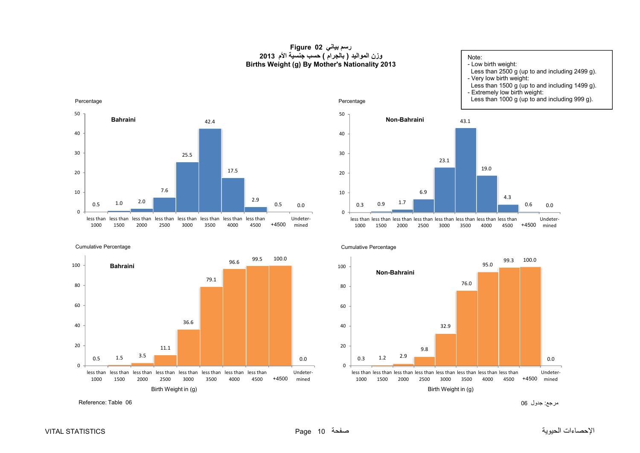#### **رسم بياني 02 Figure وزن المواليد ( بالجرام ) حسب جنسية األم <sup>2013</sup> Births Weight (g) By Mother's Nationality 2013**

Percentage

<span id="page-9-0"></span>

Cumulative Percentage



مرجع: جدول <sup>06</sup> 06 Table :Reference





+4500 mined less thanless thanless thanless thanless thanless thanless thanless than4500 4000 3500 3000 2500 2000 1500 1000

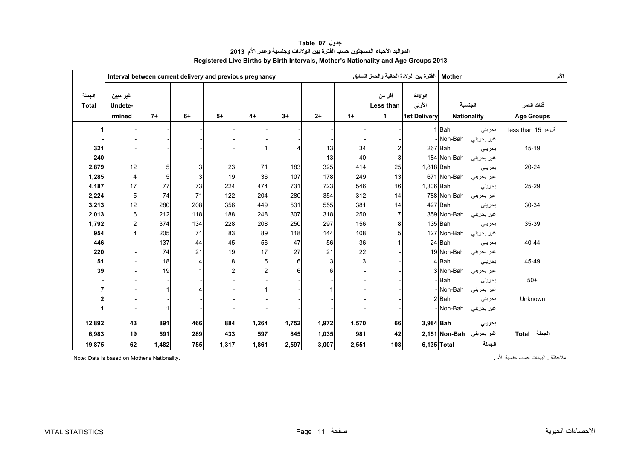<span id="page-10-0"></span>

|                        |                               |       | Interval between current delivery and previous pregnancy |                |                |       |       |       | الفترة بين الولادة الحالية والحمل السابق |                                           | <b>Mother</b>            |            | الأم                            |
|------------------------|-------------------------------|-------|----------------------------------------------------------|----------------|----------------|-------|-------|-------|------------------------------------------|-------------------------------------------|--------------------------|------------|---------------------------------|
| الجملة<br><b>Total</b> | غير مبين<br>Undete-<br>rmined | $7+$  | $6+$                                                     | $5+$           | $4+$           | $3+$  | $2+$  | $1+$  | أقل من<br>Less than<br>$\mathbf{1}$      | الو لادة<br>الأولى<br><b>1st Delivery</b> | <b>Nationality</b>       | الجنسية    | فئات العمر<br><b>Age Groups</b> |
|                        |                               |       |                                                          |                |                |       |       |       |                                          |                                           | 1Bah                     | بحريني     | أقل من 15 less than             |
|                        |                               |       |                                                          |                |                |       |       |       |                                          |                                           | Non-Bah                  | غير بحريني |                                 |
| 321                    |                               |       |                                                          |                |                | 4     | 13    | 34    | $\overline{c}$                           |                                           | 267 Bah                  | بحرينى     | $15 - 19$                       |
| 240                    |                               |       |                                                          |                |                |       | 13    | 40    | 3                                        |                                           | 184 Non-Bah              | غیر بحرینی |                                 |
| 2,879                  | 12                            | 5     |                                                          | 23             | 71             | 183   | 325   | 414   | 25                                       | 1,818 Bah                                 |                          | بحريني     | 20-24                           |
| 1,285                  | $\overline{4}$                | 5     | 3                                                        | 19             | 36             | 107   | 178   | 249   | 13                                       |                                           | 671 Non-Bah              | غير بحريني |                                 |
| 4,187                  | 17                            | 77    | 73                                                       | 224            | 474            | 731   | 723   | 546   | 16                                       | 1,306 Bah                                 |                          | بحرينى     | 25-29                           |
| 2,224                  | 5                             | 74    | 71                                                       | 122            | 204            | 280   | 354   | 312   | 14                                       |                                           | 788 Non-Bah              | غير بحريني |                                 |
| 3,213                  | 12                            | 280   | 208                                                      | 356            | 449            | 531   | 555   | 381   | 14                                       |                                           | 427 Bah                  | بحريني     | 30-34                           |
| 2,013                  | 6                             | 212   | 118                                                      | 188            | 248            | 307   | 318   | 250   | $\overline{7}$                           |                                           | 359 Non-Bah              | غير بحريني |                                 |
| 1,792                  | 2                             | 374   | 134                                                      | 228            | 208            | 250   | 297   | 156   | 8                                        |                                           | 135 Bah                  | بحريني     | 35-39                           |
| 954                    | 4                             | 205   | 71                                                       | 83             | 89             | 118   | 144   | 108   | 5                                        |                                           | 127 Non-Bah              | غير بحريني |                                 |
| 446                    |                               | 137   | 44                                                       | 45             | 56             | 47    | 56    | 36    |                                          |                                           | 24 Bah                   | بحريني     | 40-44                           |
| 220                    |                               | 74    | 21                                                       | 19             | 17             | 27    | 21    | 22    |                                          |                                           | 19 Non-Bah               | غير بحريني |                                 |
| 51                     |                               | 18    |                                                          | 8              | 5              | 6     | 3     | 3     |                                          |                                           | 4 Bah                    | بحريني     | 45-49                           |
| 39                     |                               | 19    |                                                          | $\overline{2}$ | $\overline{2}$ | 6     | 6     |       |                                          |                                           | 3 Non-Bah                | غير بحريني |                                 |
|                        |                               |       |                                                          |                |                |       |       |       |                                          |                                           | - Bah                    | بحريني     | $50+$                           |
|                        |                               |       |                                                          |                |                |       |       |       |                                          |                                           | - Non-Bah                | غير بحريني |                                 |
|                        |                               |       |                                                          |                |                |       |       |       |                                          |                                           | 2 Bah                    | بحريني     | Unknown                         |
|                        |                               |       |                                                          |                |                |       |       |       |                                          |                                           | - Non-Bah                | غير بحريني |                                 |
| 12,892                 | 43                            | 891   | 466                                                      | 884            | 1,264          | 1,752 | 1,972 | 1,570 | 66                                       | 3,984 Bah                                 |                          | بحريني     |                                 |
| 6,983                  | 19                            | 591   | 289                                                      | 433            | 597            | 845   | 1,035 | 981   | 42                                       |                                           | غير بحريني Non-Bah 2,151 |            | الجملة Total                    |
| 19,875                 | 62                            | 1,482 | 755                                                      | 1,317          | 1,861          | 2,597 | 3,007 | 2,551 | 108                                      |                                           | 6,135 Total              | الجملة     |                                 |

**جدول 07 Table المواليد األحياء المسجلون حسب الفترة بين الوالدات وجنسية وعمر األم<sup>2013</sup> Registered Live Births by Birth Intervals, Mother's Nationality and Age Groups 2013**

ملاحظة : البيانات حسب جنسية الأم . البيانات حسب جنسية الأم جنسية الأم جنسية الأم جنسية الأم . البيانات حسب جنسية الأم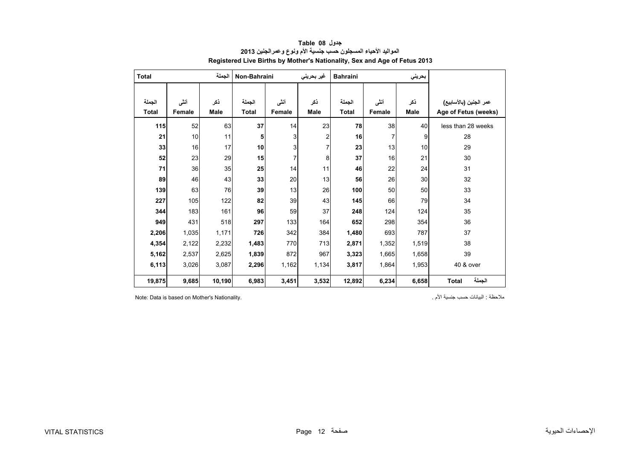<span id="page-11-0"></span>

| <b>Total</b> |        | الجملة      | Non-Bahraini |        | غیر بحرینی              | <b>Bahraini</b> | بحريني |       |                        |
|--------------|--------|-------------|--------------|--------|-------------------------|-----------------|--------|-------|------------------------|
|              |        |             |              |        |                         |                 |        |       |                        |
| الجملة       | أنشى   | ذكر         | الجملة       | أننى   | ذكر                     | الجملة          | أنثى   | ذكر   | عمر الجنين (بالأسابيع) |
| <b>Total</b> | Female | <b>Male</b> | <b>Total</b> | Female | <b>Male</b>             | <b>Total</b>    | Female | Male  | Age of Fetus (weeks)   |
| 115          | 52     | 63          | 37           | 14     | 23                      | 78              | 38     | 40    | less than 28 weeks     |
| 21           | 10     | 11          | 5            | 3      | $\overline{\mathbf{c}}$ | 16              | 7      | 9     | 28                     |
| 33           | 16     | 17          | 10           | 3      | 7                       | 23              | 13     | 10    | 29                     |
| 52           | 23     | 29          | 15           | 7      | 8                       | 37              | 16     | 21    | 30                     |
| 71           | 36     | 35          | 25           | 14     | 11                      | 46              | 22     | 24    | 31                     |
| 89           | 46     | 43          | 33           | 20     | 13                      | 56              | 26     | 30    | 32                     |
| 139          | 63     | 76          | 39           | 13     | 26                      | 100             | 50     | 50    | 33                     |
| 227          | 105    | 122         | 82           | 39     | 43                      | 145             | 66     | 79    | 34                     |
| 344          | 183    | 161         | 96           | 59     | 37                      | 248             | 124    | 124   | 35                     |
| 949          | 431    | 518         | 297          | 133    | 164                     | 652             | 298    | 354   | 36                     |
| 2,206        | 1,035  | 1,171       | 726          | 342    | 384                     | 1,480           | 693    | 787   | 37                     |
| 4,354        | 2,122  | 2,232       | 1,483        | 770    | 713                     | 2,871           | 1,352  | 1,519 | 38                     |
| 5,162        | 2,537  | 2,625       | 1,839        | 872    | 967                     | 3,323           | 1,665  | 1,658 | 39                     |
| 6,113        | 3,026  | 3,087       | 2,296        | 1,162  | 1,134                   | 3,817           | 1,864  | 1,953 | 40 & over              |
| 19,875       | 9,685  | 10,190      | 6,983        | 3,451  | 3,532                   | 12,892          | 6,234  | 6,658 | الجملة<br><b>Total</b> |

**جدول 08 Table المواليد األحياء المسجلون حسب جنسية األم ونوع وعمرالجنين <sup>2013</sup> Registered Live Births by Mother's Nationality, Sex and Age of Fetus 2013**

Note: Data is based on Mother's Nationality. . األم جنسية حسب البيانات : مالحظة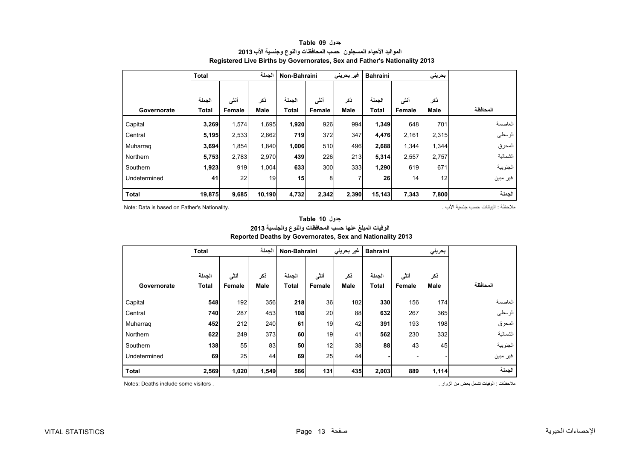<span id="page-12-0"></span>

|              | <b>Total</b> |        | الحملة      | Non-Bahraini |        | غیر بحرینی<br><b>Bahraini</b> |              |                 | بحريني      |          |
|--------------|--------------|--------|-------------|--------------|--------|-------------------------------|--------------|-----------------|-------------|----------|
|              | الحملة       | أننى   | ذكر         | الجملة       | أنشى   | ذكر                           | الجملة       | أنشى            | ذكر         |          |
| Governorate  | <b>Total</b> | Female | <b>Male</b> | Total        | Female | <b>Male</b>                   | <b>Total</b> | Female          | <b>Male</b> | المحافظة |
| Capital      | 3,269        | 1,574  | 1,695       | 1,920        | 926    | 994                           | 1,349        | 648             | 701         | العاصمة  |
| Central      | 5,195        | 2,533  | 2,662       | 719          | 372    | 347                           | 4,476        | 2,161           | 2,315       | الوسطى   |
| Muharrag     | 3,694        | 1,854  | 1,840       | 1,006        | 510    | 496                           | 2,688        | 1,344           | 1,344       | المحرق   |
| Northern     | 5,753        | 2,783  | 2,970       | 439          | 226    | 213                           | 5,314        | 2,557           | 2,757       | الشمالية |
| Southern     | 1,923        | 919    | 1,004       | 633          | 300    | 333                           | 1,290        | 619             | 671         | الجنوبية |
| Undetermined | 41           | 22     | 19          | 15           | 8      | 7                             | 26           | 14 <sub>1</sub> | 12          | غير مبين |
| <b>Total</b> | 19,875       | 9,685  | 10,190      | 4,732        | 2,342  | 2,390                         | 15,143       | 7,343           | 7,800       | الجملة   |

#### **جدول 09 Table المواليد األحياء المسجلون حسب المحافظات والنوع وجنسية األب <sup>2013</sup> Registered Live Births by Governorates, Sex and Father's Nationality 2013**

Note: Data is based on Father's Nationality. . األب جنسية حسب البيانات : مالحظة

|              | الجملة<br><b>Total</b> |                |                    | Non-Bahraini           |                | غير بحريني         | <b>Bahraini</b> |                | بحريني      |          |
|--------------|------------------------|----------------|--------------------|------------------------|----------------|--------------------|-----------------|----------------|-------------|----------|
| Governorate  | الجملة<br><b>Total</b> | أنشى<br>Female | ذكر<br><b>Male</b> | الحملة<br><b>Total</b> | أنشى<br>Female | ذكر<br><b>Male</b> | الجملة<br>Total | أنشى<br>Female | ذكر<br>Male | المحافظة |
| Capital      | 548                    | 192            | 356                | 218                    | 36             | 182                | 330             | 156            | 174         | العاصمة  |
| Central      | 740                    | 287            | 453                | 108                    | 20             | 88                 | 632             | 267            | 365         | الوسطى   |
| Muharrag     | 452                    | 212            | 240                | 61                     | 19             | 42                 | 391             | 193            | 198         | المحرق   |
| Northern     | 622                    | 249            | 373                | 60                     | 19             | 41                 | 562             | 230            | 332         | الشمالية |
| Southern     | 138                    | 55             | 83                 | 50                     | 12             | 38                 | 88              | 43             | 45          | الجنوبية |
| Undetermined | 69                     | 25             | 44                 | 69                     | 25             | 44                 |                 |                |             | غير مبين |
| <b>Total</b> | 2,569                  | 1,020          | 1,549              | 566                    | 131            | 435                | 2,003           | 889            | 1,114       | الجملة   |

## **Reported Deaths by Governorates, Sex and Nationality 2013 الوفيات المبلغ عنھا حسب المحافظات والنوع والجنسية <sup>2013</sup>**

**جدول 10 Table**

مالحظات : الوفيات تشمل بعض من الزوار . . visitors some include Deaths :Notes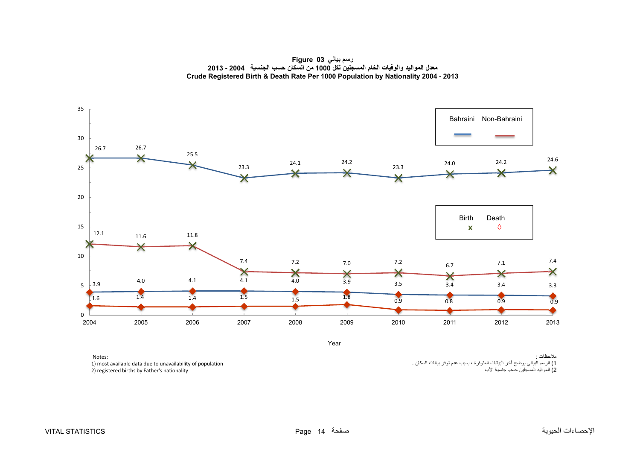**رسم بياني 03 Figure معدل المواليد والوفيات الخام المسجلين لكل <sup>1000</sup> من السكان حسب الجنسية 2004 - <sup>2013</sup> Crude Registered Birth & Death Rate Per 1000 Population by Nationality 2004 - 2013**

<span id="page-13-0"></span>

Year

مالحظات : 1) الرسم البياني يوضح آخر البيانات المتوفرة ، بسبب عدم توفر بيانات السكان . 2) المواليد المسجلين حسب جنسية الأب

Notes: 1) most available data due to unavailability of population 2) registered births by Father's nationality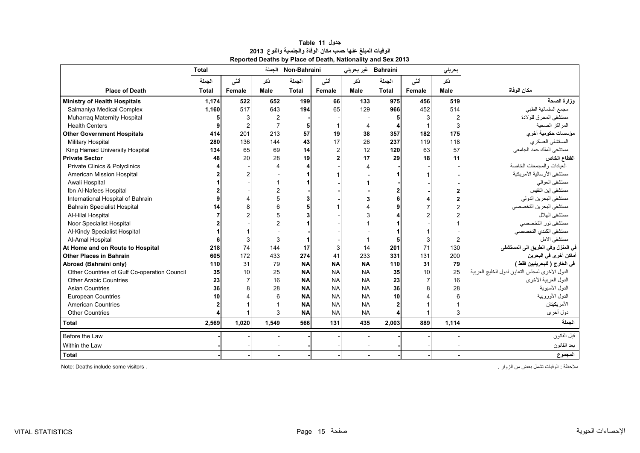<span id="page-14-0"></span>

|                                              | <b>Total</b> |                | الحملة      | Non-Bahraini |                | غير بحريني  | <b>Bahraini</b> |        | بحريني      |                                                |
|----------------------------------------------|--------------|----------------|-------------|--------------|----------------|-------------|-----------------|--------|-------------|------------------------------------------------|
|                                              | الجملة       | أننس           | ذکر         | الجملة       | أننى           | ڏکر         | الجملة          | أنشى   | ذکر         |                                                |
| <b>Place of Death</b>                        | <b>Total</b> | Female         | <b>Male</b> | <b>Total</b> | Female         | <b>Male</b> | <b>Total</b>    | Female | <b>Male</b> | مكان الوفاة                                    |
| <b>Ministry of Health Hospitals</b>          | 1,174        | 522            | 652         | 199          | 66             | 133         | 975             | 456    | 519         | وزارة الصحة                                    |
| Salmaniya Medical Complex                    | 1.160        | 517            | 643         | 194          | 65             | 129         | 966             | 452    | 514         | مجمع السلمانية الطبي                           |
| Muharraq Maternity Hospital                  |              | 3              |             |              |                |             |                 |        |             | مستشفى المحرق للولادة                          |
| <b>Health Centers</b>                        |              | $\overline{2}$ |             |              |                |             |                 |        |             | المراكز الصحبة                                 |
| <b>Other Government Hospitals</b>            | 414          | 201            | 213         | 57           | 19             | 38          | 357             | 182    | 175         | مؤسسات حكومية أخر ي                            |
| <b>Military Hospital</b>                     | 280          | 136            | 144         | 43           | 17             | 26          | 237             | 119    | 118         | المستشفى العسكري                               |
| King Hamad University Hospital               | 134          | 65             | 69          | 14           | $\overline{a}$ | 12          | 120             | 63     | 57          | مستشفى الملك حمد الجامعي                       |
| <b>Private Sector</b>                        | 48           | 20             | 28          | 19           | 2              | 17          | 29              | 18     | 11          | القطاع الخاص                                   |
| Private Clinics & Polyclinics                |              |                |             |              |                |             |                 |        |             | العبادات والمجمعات الخاصة                      |
| American Mission Hospital                    |              |                |             |              |                |             |                 |        |             | مستشفى الأرسالية الأمريكية                     |
| Awali Hospital                               |              |                |             |              |                |             |                 |        |             | مستشفى العوالمي                                |
| Ibn Al-Nafees Hospital                       |              |                |             |              |                |             |                 |        |             | مستشفى إبن النفيس                              |
| International Hospital of Bahrain            |              |                |             |              |                |             |                 |        |             | مستشفى البحرين الدولي                          |
| <b>Bahrain Specialist Hospital</b>           | 14           | 8              |             |              |                |             |                 |        |             | مستشفى البحرين التخصصي                         |
| Al-Hilal Hospital                            |              |                |             |              |                |             |                 |        |             | مستشفى الهلال                                  |
| Noor Specialist Hospital                     |              |                |             |              |                |             |                 |        |             | مستشفى نور التخصصي                             |
| Al-Kindy Specialist Hospital                 |              |                |             |              |                |             |                 |        |             | مستشفى الكندى التخصصي                          |
| Al-Amal Hospital                             |              | 3              |             |              |                |             |                 |        |             | مستشفى الامل                                   |
| At Home and on Route to Hospital             | 218          | 74             | 144         | 17           |                | 14          | 201             | 71     | 130         | في المنزل وفي الطريق الى المستشفى              |
| <b>Other Places in Bahrain</b>               | 605          | 172            | 433         | 274          | 41             | 233         | 331             | 131    | 200         | أماكن أخرى في البحرين                          |
| Abroad (Bahraini only)                       | 110          | 31             | 79          | <b>NA</b>    | <b>NA</b>      | <b>NA</b>   | 110             | 31     | 79          | في الخارج ( للبحرينيين فقط )                   |
| Other Countries of Gulf Co-operation Council | 35           | 10             | 25          | <b>NA</b>    | <b>NA</b>      | <b>NA</b>   | 35              | 10     | 25          | الدول الأخرى لمجلس التعاون لدول الخليج العربية |
| <b>Other Arabic Countries</b>                | 23           |                | 16          | <b>NA</b>    | <b>NA</b>      | <b>NA</b>   | 23              |        | 16          | الدول العربية الأخرى                           |
| <b>Asian Countries</b>                       | 36           | 8              | 28          | <b>NA</b>    | <b>NA</b>      | <b>NA</b>   | 36              |        | 28          | الدول الأسبوية                                 |
| <b>European Countries</b>                    | 10           |                |             | <b>NA</b>    | <b>NA</b>      | <b>NA</b>   | 10              |        |             | الدول الأوروبية                                |
| <b>American Countries</b>                    |              |                |             | <b>NA</b>    | <b>NA</b>      | <b>NA</b>   | $\mathbf{2}$    |        |             | الأمر يكيتان                                   |
| <b>Other Countries</b>                       |              |                |             | <b>NA</b>    | <b>NA</b>      | <b>NA</b>   |                 |        |             | دول أخرى                                       |
| <b>Total</b>                                 | 2,569        | 1,020          | 1,549       | 566          | 131            | 435         | 2,003           | 889    | 1,114       | الحملة                                         |
| Before the Law                               |              |                |             |              |                |             |                 |        |             | قبل القانون                                    |
| Within the Law                               |              |                |             |              |                |             |                 |        |             | بعد القانون                                    |
| Total                                        |              |                |             |              |                |             |                 |        |             | المجموع                                        |

#### **جدول 11 Table الوفيات المبلغ عنھا حسب مكان الوفاة والجنسية والنوع<sup>2013</sup> Reported Deaths by Place of Death, Nationality and Sex 2013**

مالحظة : الوفيات تشمل بعض من الزوار . . visitors some include Deaths :Note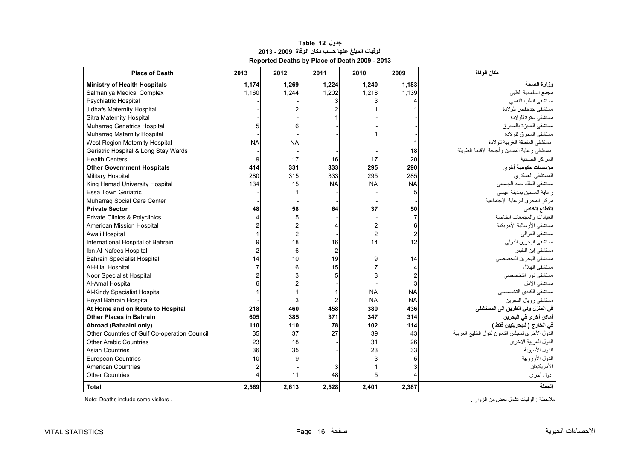<span id="page-15-0"></span>

| <b>Place of Death</b>                        | 2013      | 2012      | 2011                      | 2010      | 2009           | مكان الوفاة                                    |
|----------------------------------------------|-----------|-----------|---------------------------|-----------|----------------|------------------------------------------------|
| <b>Ministry of Health Hospitals</b>          | 1,174     | 1,269     | 1,224                     | 1,240     | 1,183          | وزارة الصحة                                    |
| Salmaniya Medical Complex                    | 1,160     | 1,244     | 1,202                     | 1,218     | 1,139          | مجمع السلمانية الطبي                           |
| Psychiatric Hospital                         |           |           |                           |           |                | مستشفى الطب النفسى                             |
| Jidhafs Maternity Hospital                   |           |           |                           |           |                | مستشفى جدحفص للولادة                           |
| Sitra Maternity Hospital                     |           |           |                           |           |                | مستشفى سنرة للولادة                            |
| Muharraq Geriatrics Hospital                 |           |           |                           |           |                | مستشفى العجزة بالمحرق                          |
| Muharrag Maternity Hospital                  |           |           |                           |           |                | مستشفى المحر ق للو لادة                        |
| West Region Maternity Hospital               | <b>NA</b> | <b>NA</b> |                           |           |                | مستشفى المنطقة الغربية للولادة                 |
| Geriatric Hospital & Long Stay Wards         |           |           |                           |           | 18             | مستشفى رعاية المسنين وأجنحة الإقامة الطويلة    |
| <b>Health Centers</b>                        | 9         | 17        | 16                        | 17        | 20             | المراكز الصحية                                 |
| <b>Other Government Hospitals</b>            | 414       | 331       | 333                       | 295       | 290            | مؤسسات حكومية أخرى                             |
| <b>Military Hospital</b>                     | 280       | 315       | 333                       | 295       | 285            | المستشفى العسكري                               |
| King Hamad University Hospital               | 134       | 15        | <b>NA</b>                 | <b>NA</b> | <b>NA</b>      | مستشفى الملك حمد الجامعي                       |
| <b>Essa Town Geriatric</b>                   |           |           |                           |           | 5              | ر عاية المسنين بمدينة عيسى                     |
| Muharraq Social Care Center                  |           |           |                           |           |                | مركز المحرق للرعاية الإجتماعية                 |
| <b>Private Sector</b>                        | 48        | 58        | 64                        | 37        | 50             | القطاع الخاص                                   |
| Private Clinics & Polyclinics                |           |           |                           |           | $\overline{7}$ | العيادات والمجمعات الخاصة                      |
| American Mission Hospital                    |           |           |                           |           | 6              | مستشفى الأرسالية الأمريكية                     |
| Awali Hospital                               |           |           |                           |           |                | مستشفى العوالمي                                |
| International Hospital of Bahrain            |           | 18        | 16                        | 14        | 12             | مستشفى البحرين الدولي                          |
| Ibn Al-Nafees Hospital                       |           |           | $\mathbf{2}^{\mathsf{I}}$ |           |                | مستشفى إبن النفيس                              |
| <b>Bahrain Specialist Hospital</b>           | 14        | 10        | 19                        |           | 14             | مستشفى البحر بن التخصصي                        |
| Al-Hilal Hospital                            |           |           | 15                        |           |                | مستشفى الهلال                                  |
| Noor Specialist Hospital                     |           |           | 5                         |           |                | مستشفى نور التخصصي                             |
| Al-Amal Hospital                             |           |           |                           |           |                | مستشفى الأمل                                   |
| Al-Kindy Specialist Hospital                 |           |           |                           | <b>NA</b> | <b>NA</b>      | مستشفى الكندي التخصصى                          |
| Royal Bahrain Hospital                       |           |           |                           | <b>NA</b> | <b>NA</b>      | مستشفى رويال البحرين                           |
| At Home and on Route to Hospital             | 218       | 460       | 458                       | 380       | 436            | في المنزل وفي الطريق الى المستشفى              |
| <b>Other Places in Bahrain</b>               | 605       | 385       | 371                       | 347       | 314            | أماكن أخرى في البحرين                          |
| Abroad (Bahraini only)                       | 110       | 110       | 78                        | 102       | 114            | في الخارج ( للبحرينيين فقط )                   |
| Other Countries of Gulf Co-operation Council | 35        | 37        | 27                        | 39        | 43             | الدول الأخرى لمجلس التعاون لدول الخليج العربية |
| <b>Other Arabic Countries</b>                | 23        | 18        |                           | 31        | 26             | الدول العربية الأخرى                           |
| <b>Asian Countries</b>                       | 36        | 35        |                           | 23        | 33             | الدول الأسيوية                                 |
| <b>European Countries</b>                    | 10        |           |                           |           |                | الدول الأوروبية                                |
| <b>American Countries</b>                    |           |           |                           |           |                | الأمريكيتان                                    |
| <b>Other Countries</b>                       |           | 11        | 48                        |           |                | دول أخرى                                       |
| <b>Total</b>                                 | 2,569     | 2,613     | 2,528                     | 2,401     | 2,387          | الحملة                                         |

### **جدول 12 Table الوفيات المبلغ عنھا حسب مكان الوفاة 2009 - 2013 Reported Deaths by Place of Death 2009 - 2013**

ملاحظة : الوفيات تشمل بعض من الزوار .<br>ـ Note: Deaths include some visitors .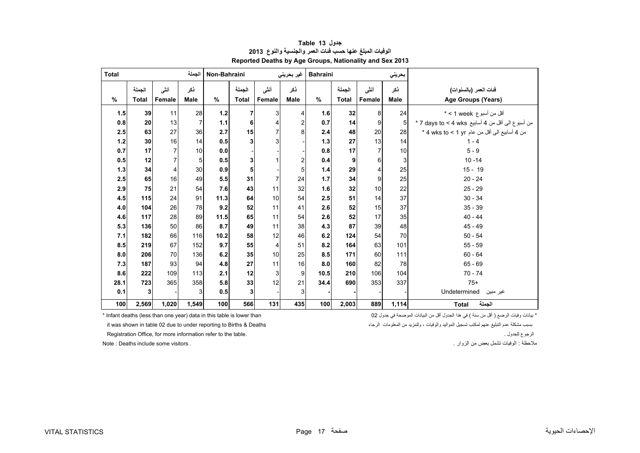<span id="page-16-0"></span>

| <b>Total</b> |                        |                | الجملة             | Non-Bahraini<br>غير بحريني |                        |                |                    | <b>Bahraini</b> |                        |                | بحريني             |                                                  |
|--------------|------------------------|----------------|--------------------|----------------------------|------------------------|----------------|--------------------|-----------------|------------------------|----------------|--------------------|--------------------------------------------------|
| $\%$         | الجملة<br><b>Total</b> | أنشى<br>Female | نكر<br><b>Male</b> | %                          | الجملة<br><b>Total</b> | أنشى<br>Female | ذكر<br><b>Male</b> | $\frac{9}{6}$   | الجملة<br><b>Total</b> | أننى<br>Female | ذكر<br><b>Male</b> | فنات المعر (بالسنوات)<br>Age Groups (Years)      |
|              |                        |                |                    |                            |                        |                |                    |                 |                        |                |                    |                                                  |
| 1.5          | 39                     | 11             | 28                 | $1.2$                      | 7                      | 3              | 4                  | 1.6             | 32                     | 8              | 24                 | أقل من أسبوع veek > *                            |
| 0.8          | 20                     | 13             | $\overline{7}$     | 1.1                        | 6                      |                | 2                  | 0.7             | 14                     | 9              | 5                  | من أسبوع الى أقل من 4 أسابيع 7 days to < 4 wks * |
| 2.5          | 63                     | 27             | 36                 | 2.7                        | 15                     | $\overline{7}$ | 8                  | 2.4             | 48                     | 20             | 28                 | من 4 أسابيع الى أقل من عام 4 wks to < 1 yr *     |
| 1.2          | 30                     | 16             | 14                 | 0.5                        | 3                      | 3              |                    | 1.3             | 27                     | 13             | 14                 | $1 - 4$                                          |
| 0.7          | 17                     | 7              | 10                 | 0.0                        |                        |                |                    | 0.8             | 17                     |                | 10                 | $5 - 9$                                          |
| 0.5          | 12                     | 7              | 5                  | 0.5                        | 3                      |                | 2                  | 0.4             | 9                      | 6              | 3                  | $10 - 14$                                        |
| 1.3          | 34                     | 4              | 30                 | 0.9                        | 5                      |                | 5                  | 1.4             | 29                     |                | 25                 | $15 - 19$                                        |
| 2.5          | 65                     | 16             | 49                 | 5.5                        | 31                     | 7              | 24                 | 1.7             | 34                     | 9              | 25                 | $20 - 24$                                        |
| 2.9          | 75                     | 21             | 54                 | 7.6                        | 43                     | 11             | 32                 | 1.6             | 32                     | 10             | 22                 | $25 - 29$                                        |
| 4.5          | 115                    | 24             | 91                 | 11.3                       | 64                     | 10             | 54                 | 2.5             | 51                     | 14             | 37                 | $30 - 34$                                        |
| 4.0          | 104                    | 26             | 78                 | 9.2                        | 52                     | 11             | 41                 | 2.6             | 52                     | 15             | 37                 | $35 - 39$                                        |
| 4.6          | 117                    | 28             | 89                 | 11.5                       | 65                     | 11             | 54                 | 2.6             | 52                     | 17             | 35                 | $40 - 44$                                        |
| 5.3          | 136                    | 50             | 86                 | 8.7                        | 49                     | 11             | 38                 | 4.3             | 87                     | 39             | 48                 | $45 - 49$                                        |
| 7.1          | 182                    | 66             | 116                | 10.2                       | 58                     | 12             | 46                 | 6.2             | 124                    | 54             | 70                 | $50 - 54$                                        |
| 8.5          | 219                    | 67             | 152                | 9.7                        | 55                     | 4              | 51                 | 8.2             | 164                    | 63             | 101                | $55 - 59$                                        |
| 8.0          | 206                    | 70             | 136                | 6.2                        | 35                     | 10             | 25                 | 8.5             | 171                    | 60             | 111                | $60 - 64$                                        |
| 7.3          | 187                    | 93             | 94                 | 4.8                        | 27                     | 11             | 16                 | 8.0             | 160                    | 82             | 78                 | $65 - 69$                                        |
| 8.6          | 222                    | 109            | 113                | 2.1                        | 12                     | 3              | 9                  | 10.5            | 210                    | 106            | 104                | $70 - 74$                                        |
| 28.1         | 723                    | 365            | 358                | 5.8                        | 33                     | 12             | 21                 | 34.4            | 690                    | 353            | 337                | $75+$                                            |
| 0.1          | 3                      |                | 3                  | 0.5                        | 3                      |                | $\overline{3}$     |                 |                        |                |                    | Undetermined<br>غير مبين                         |
| 100          | 2,569                  | 1,020          | 1,549              | 100                        | 566                    | 131            | 435                | 100             | 2,003                  | 889            | 1,114              | الجملة<br><b>Total</b>                           |

#### **جدول 13 Table الوفيات المبلغ عنھا حسب فئات العمر والجنسية والنوع<sup>2013</sup> Reported Deaths by Age Groups, Nationality and Sex 2013**

\* بيانات وفيات الرضع ( أقل من سنة ) في هذا الجدول أقل من البيانات الموضحة في جدول 02 lonfant deaths (less than one year) data in this table is lower than \* بسبب مشكلة

مالحظة : الوفيات تشمل بعض من الزوار . . visitors some include Deaths : Note

it was shown in table 02 due to under reporting to Births & Deaths

Registration Office, for more information refer to the table. . للجدول الرجوع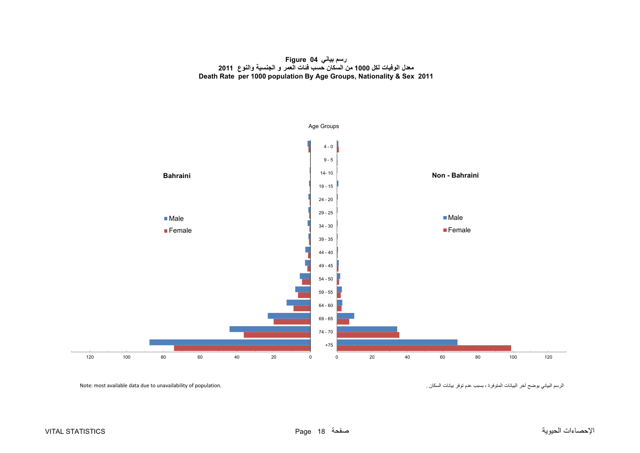#### **رسم بياني 04 Figure معدل الوفيات لكل <sup>1000</sup> من السكان حسب فئات العمر <sup>و</sup> الجنسية والنوع <sup>2011</sup> Death Rate per 1000 population By Age Groups, Nationality & Sex 2011**

<span id="page-17-0"></span>

الرسم البياني يوضح آخر البيانات المتوفرة ، بسبب عدم توفر بيانات السكان .<br>الرسم البياني يوضح آخر البيانات المتوفرة ، بسبب عدم توفر بيانات السكان .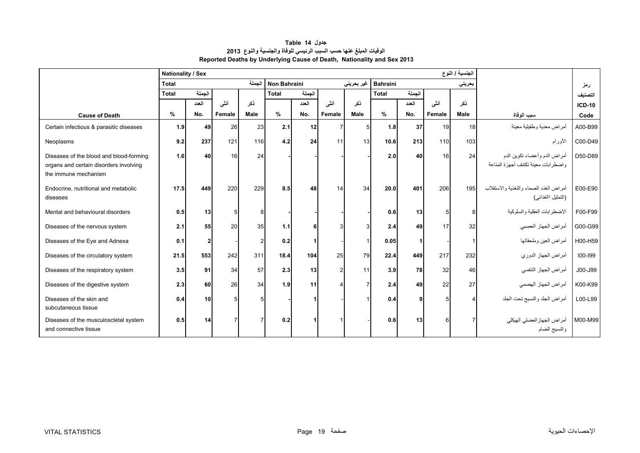<span id="page-18-0"></span>

|                                                                                                           | <b>Nationality / Sex</b> |                |        |             | الجنسية / النوع     |        |                |            |                 |        |                |                 |                                                                       |               |
|-----------------------------------------------------------------------------------------------------------|--------------------------|----------------|--------|-------------|---------------------|--------|----------------|------------|-----------------|--------|----------------|-----------------|-----------------------------------------------------------------------|---------------|
|                                                                                                           | <b>Total</b>             |                |        | الجملة      | <b>Non Bahraini</b> |        |                | غير بحريني | <b>Bahraini</b> |        |                | بحريني          |                                                                       | رمز           |
|                                                                                                           | <b>Total</b>             | الجملة         |        |             | <b>Total</b>        | الجملة |                |            | <b>Total</b>    | الجملة |                |                 |                                                                       | التصنيف       |
|                                                                                                           |                          | العدد          | أنشى   | نكر         |                     | العدد  | أنشى           | نكر        |                 | العدد  | أنشى           | نكر             |                                                                       | <b>ICD-10</b> |
| <b>Cause of Death</b>                                                                                     | %                        | No.            | Female | <b>Male</b> | %                   | No.    | Female         | Male       | %               | No.    | Female         | Male            | سبب الوفاة                                                            | Code          |
| Certain infectious & parasitic diseases                                                                   | 1.9                      | 49             | 26     | 23          | 2.1                 | 12     | 7              | 5          | 1.8             | 37     | 19             | 18 <sup>1</sup> | أمراض معدية وطفيلية معينة                                             | A00-B99       |
| Neoplasms                                                                                                 | 9.2                      | 237            | 121    | 116         | 4.2                 | 24     | 11             | 13         | 10.6            | 213    | 110            | 103             | الأورام                                                               | C00-D49       |
| Diseases of the blood and blood-forming<br>organs and certain disorders involving<br>the immune mechanism | 1.6                      | 40             | 16     | 24          |                     |        |                |            | 2.0             | 40     | 16             | 24              | أمراض الدم وأعضاء تكوين الدم<br>واضطر ابات معبنة تكتنف أجهز ة المناعة | D50-D89       |
| Endocrine, nutritional and metabolic<br>diseases                                                          | 17.5                     | 449            | 220    | 229         | 8.5                 | 48     | 14             | 34         | 20.0            | 401    | 206            | 195             | أمر اض الغدد الصماء والتغذية والاستقلاب<br>(التمثيل االغذائبي)        | E00-E90       |
| Mental and behavioural disorders                                                                          | 0.5                      | 13             | 5      |             |                     |        |                |            | 0.6             | 13     | 5 <sup>1</sup> | 8               | الإضطرابات العقلية والسلوكية                                          | F00-F99       |
| Diseases of the nervous system                                                                            | 2.1                      | 55             | 20     | 35          | 1.1                 | 6      | З              |            | 2.4             | 49     | 17             | 32              | أمراض الجهاز العصبي                                                   | G00-G99       |
| Diseases of the Eye and Adnexa                                                                            | 0.1                      | 2 <sup>1</sup> |        |             | 0.2                 |        |                |            | 0.05            |        |                |                 | أمراض العين وملحقاتها                                                 | H00-H59       |
| Diseases of the circulatory system                                                                        | 21.5                     | 553            | 242    | 311         | 18.4                | 104    | 25             | 79         | 22.4            | 449    | 217            | 232             | أمراض الجهاز الدوري                                                   | $100 - 199$   |
| Diseases of the respiratory system                                                                        | 3.5                      | 91             | 34     | 57          | 2.3                 | 13     | $\overline{2}$ | 11         | 3.9             | 78     | 32             | 46              | أمراض الجهاز التنفسي                                                  | J00-J99       |
| Diseases of the digestive system                                                                          | 2.3                      | 60             | 26     | 34          | 1.9                 | 11     |                |            | 2.4             | 49     | 22             | 27              | أمراض الجهاز الهضمي                                                   | K00-K99       |
| Diseases of the skin and<br>subcutaneous tissue                                                           | 0.4                      | 10             | 5      |             |                     |        |                |            | 0.4             |        |                |                 | أمراض الجلد والنسيج تحت الجلد                                         | L00-L99       |
| Diseases of the musculoscletal system<br>and connective tissue                                            | 0.5                      | 14             |        |             | 0.2                 |        |                |            | 0.6             | 13     | ĥ              |                 | أمر اض الجهاز العضلي الهيكلي<br>والنسيج الضام                         | M00-M99       |

**جدول 14 Table الوفيات المبلغ عنھا حسب السبب الرئيسي للوفاة والجنسية والنوع<sup>2013</sup> Reported Deaths by Underlying Cause of Death, Nationality and Sex 2013**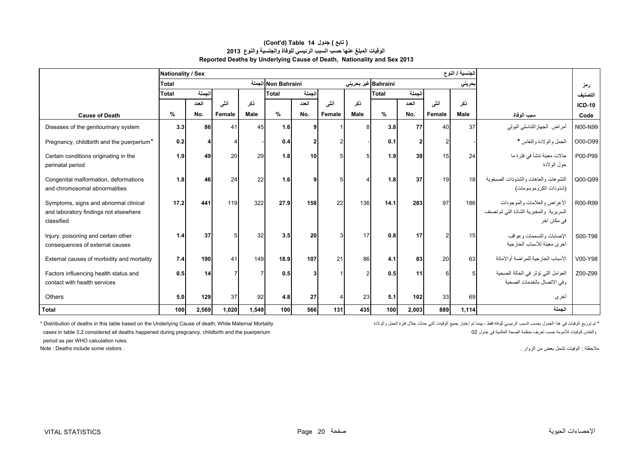|                                                                                              | Nationality / Sex |        |                |                |                     |              |               |      |                     |       |        | الجنسية / النوع |                                                                                       |               |
|----------------------------------------------------------------------------------------------|-------------------|--------|----------------|----------------|---------------------|--------------|---------------|------|---------------------|-------|--------|-----------------|---------------------------------------------------------------------------------------|---------------|
|                                                                                              | Total             |        |                |                | Non Bahraini الجملة |              |               |      | Bahraini غیر بحرینی |       |        | بحرين <i>ي</i>  |                                                                                       | رمز           |
|                                                                                              | Total             | الجملة |                |                | Total               | الجملة       |               |      | Total               | لجملة |        |                 |                                                                                       | التصنيف       |
|                                                                                              |                   | العدد  | أنشى           | ذكر            |                     | العدد        | أنشى          | نكر  |                     | العدد | أنشى   | نكر             |                                                                                       | <b>ICD-10</b> |
| <b>Cause of Death</b>                                                                        | %                 | No.    | Female         | <b>Male</b>    | %                   | No.          | Female        | Male | %                   | No.   | Female | <b>Male</b>     | سبب الوفاة                                                                            | Code          |
| Diseases of the genitourinary system                                                         | 3.3               | 86     | 41             | 45             | 1.6                 | q            |               |      | 3.8                 | 77    | 40     | 37              | أمراض الجهازالتناسلي البولي                                                           | N00-N99       |
| Pregnancy, childbirth and the puerperium*                                                    | 0.2               | 4      |                |                | 0.4                 | $\mathbf{2}$ | $\mathcal{P}$ |      | 0.1                 |       |        |                 | الحمل والولادة والنفاس *                                                              | O00-O99       |
| Certain conditions originating in the<br>perinatal period                                    | 1.9               | 49     | 20             | 29             | 1.8                 | 10           | 5             |      | 1.9                 | 39    | 15     | 24              | حالات معينة تنشأ في فترة ما<br>حول الو لادة                                           | P00-P99       |
| Congenital malformation, deformations<br>and chromosomal abnormalities                       | 1.8               | 46     | 24             | 22             | 1.6                 | q            | 5             |      | 1.8                 | 37    | 19     | 18              | التشو هات و العاهات و الشذو ذات الصبغوية<br>(شذوذات الكروموسومات)                     | Q00-Q99       |
| Symptoms, signs and abnormal clinical<br>and laboratory findings not elsewhere<br>classified | 17.2              | 441    | 119            | 322            | 27.9                | 158          | 22            | 136  | 14.1                | 283   | 97     | 186             | الأعراض والعلامات والموجودات<br>السريرية والمخبرية الشاذة التى لم تصنف<br>في مكان آخر | R00-R99       |
| Injury, poisoning and certain other<br>consequences of external causes                       | 1.4               | 37     | 5              | 32             | 3.5                 | 20           | $\mathcal{R}$ | 17   | 0.8                 | 17    |        | 15              | الإصبابات والتسممات وعواقب<br>أخرى معبنة للأسباب الخار جبة                            | S00-T98       |
| External causes of morbidity and mortality                                                   | 7.4               | 190    | 41             | 149            | 18.9                | 107          | 21            | 86   | 4.1                 | 83    | 20     | 63              | الأسباب الخارجية للمراضة أوالإماتة                                                    | V00-Y98       |
| Factors influencing health status and<br>contact with health services                        | 0.5               | 14     | $\overline{7}$ | $\overline{7}$ | 0.5                 | 3            |               |      | 0.5                 | 11    | 6      | 5               | العوامل التي تؤثر في الحالة الصحية<br>وفي الاتصال بالخدمات الصحية                     | Z00-Z99       |
| <b>Others</b>                                                                                | 5.0               | 129    | 37             | 92             | 4.8                 | 27           |               | 23   | 5.1                 | 102   | 33     | 69              | أخرى                                                                                  |               |
| Total                                                                                        | 100               | 2,569  | 1,020          | 1,549          | 100                 | 566          | 131           | 435  | 100 <sup>1</sup>    | 2,003 | 889    | 1,114           | الحملة                                                                                |               |

#### **(Cont'd) Table 14 جدول ) تابع( الوفيات المبلغ عنھا حسب السبب الرئيسي للوفاة والجنسية والنوع<sup>2013</sup> Reported Deaths by Underlying Cause of Death, Nationality and Sex 2013**

\* توزيع الوفيات الفي هذا الجنول بعسب السبب الرئيسي للوفاة فقط ، بينما تم إحتبار جميع الوفيات التي حدثت خلال فترة الحمل والولاد التي حدثت خلال فترة الحمل والولاد التي حدثت خلال فترة الحمل والولاد التي حدثت خلال فترة الحمل

والنفاس كرفيات للأمومة حسب تعريف منظمة الصحة العالمية في جدول 20 ي العالمية الصحة العالمية في جدول 20 جدول 20 مسبب تعريف منظمة الصحة العالمية في جدول 20 جدول منظمة الصحة العالمية في جدول 20 ي ... والنفاس كرفيات للأمومة كو

period as per WHO calculation rules.

مالحظة : الوفيات تشمل بعض من الزوار . . visitors some include Deaths : Note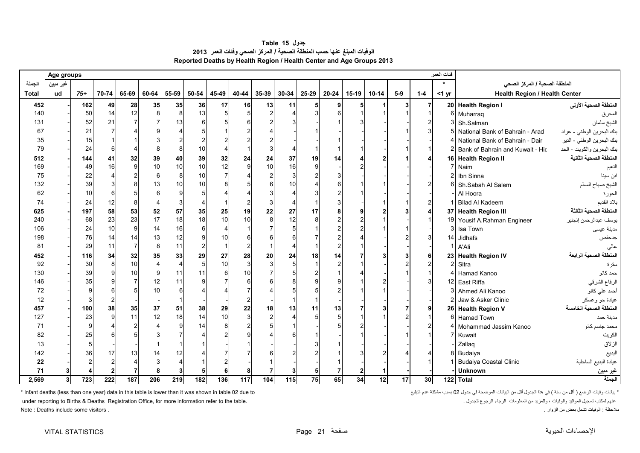| جدول Table 15                                                             |
|---------------------------------------------------------------------------|
| الوفيات المبلغ عنها حسب المنطقة الصحية / المركز الصحي وفَنات العمر   2013 |
| Reported Deaths by Health Region / Health Center and Age Groups 2013      |

<span id="page-20-0"></span>

|              | Age groups     |       |                |                |          |       |       |                          |              |       |       |       |       |         |           |       |                 | فنات العمر      |                                  |                            |
|--------------|----------------|-------|----------------|----------------|----------|-------|-------|--------------------------|--------------|-------|-------|-------|-------|---------|-----------|-------|-----------------|-----------------|----------------------------------|----------------------------|
| الجملة       | غير مبين       |       |                |                |          |       |       |                          |              |       |       |       |       |         |           |       |                 |                 | المنطقة الصحية / المركز الصحي    |                            |
| <b>Total</b> | ud             | $75+$ | 70-74          | 65-69          | 60-64    | 55-59 | 50-54 | 45-49                    | 40-44        | 35-39 | 30-34 | 25-29 | 20-24 | $15-19$ | $10 - 14$ | $5-9$ | $1-4$           | $<$ 1 yr        | Health Region / Health Center    |                            |
| 452          |                | 162   | 49             | 28             | 35       | 35    | 36    | 17                       | 16           | 13    | 11    | 5     | 9     | 5       |           | 3     |                 | 20              | <b>Health Region I</b>           | المنطقة الصحية الأولى      |
| 140          |                | 50    | 14             | 12             |          | 8     | 13    |                          |              |       |       |       |       |         |           |       |                 | 6               | Muharraq                         | المحرق                     |
| 131          |                | 52    | 21             |                |          | 13    |       |                          |              |       |       |       |       |         |           |       |                 | p               | Sh.Salman                        | الشيخ سلمان                |
| 67           |                | 21    | 7              |                |          |       |       |                          |              |       |       |       |       |         |           |       |                 | 5               | National Bank of Bahrain - Arad  | بنك البحرين الوطني - عراد  |
| 35           |                | 15    |                |                |          |       |       |                          |              |       |       |       |       |         |           |       |                 |                 | National Bank of Bahrain - Dair  | بنك البحرين الوطني - الدير |
| 79           |                | 24    | 6              |                |          |       | 10    | $\boldsymbol{\varDelta}$ |              |       |       |       |       |         |           |       |                 |                 | Bank of Bahrain and Kuwait - Hic | بنك البحرين والكويت - الحد |
| 512          |                | 144   | 41             | 32             | 39       | 40    | 39    | 32                       | 24           | 24    | 37    | 19    | 14    |         |           |       |                 | 16              | <b>Health Region II</b>          | المنطقة الصحية الثانية     |
| 169          |                | 49    | 16             | $\mathsf{g}$   | 10       | 10    | 10    | 12                       | 9            | 10    | 16    | 9     |       |         |           |       |                 |                 | Naim                             | النعيم                     |
| 75           |                | 22    |                |                | 6        | 8     | 10    | $\overline{7}$           |              |       |       |       |       |         |           |       |                 | 2               | Ibn Sinna                        | ابن سينا                   |
| 132          |                | 39    |                |                | 13       | 10    | 10    |                          |              |       |       |       |       |         |           |       |                 | 6               | Sh.Sabah Al Salem                | الشيخ صباح السالم          |
| 62           |                | 10    | 6              |                |          |       |       |                          |              |       |       |       |       |         |           |       |                 |                 | Al Hoora                         | الحورة                     |
| 74           |                | 24    | 12             | 8              |          |       |       |                          |              |       |       |       | 3     |         |           |       |                 | 1               | <b>Bilad Al Kadeem</b>           | بلاد القديم                |
| 625          |                | 197   | 58             | 53             | 52       | 57    | 35    | 25                       | 19           | 22    | 27    | 17    | 8     |         |           |       |                 | 37              | <b>Health Region III</b>         | المنطقة الصحية الثالثة     |
| 240          |                | 68    | 23             | 23             | 17       | 18    | 18    | 10                       | 10           | 8     | 12    | 8     |       |         |           |       |                 | 19 <sup>l</sup> | Yousif A.Rahman Engineer         | يوسف عبدالرحمن إنجنير      |
| 106          |                | 24    | 10             | 9              | 14       | 16    | ĥ     | $\overline{4}$           |              |       |       |       |       |         |           |       |                 | 3               | Isa Town                         | مدينة عيسى                 |
| 198          |                | 76    | 14             | 14             | 13       | 12    |       | 10                       |              |       |       |       |       |         |           |       |                 | 14              | Jidhafs                          | جدحفص                      |
| 81           |                | 29    | 11             | $\overline{7}$ | 8        | 11    |       | $\overline{1}$           |              |       |       |       |       |         |           |       |                 | 1               | A'Ali                            | عالى                       |
| 452          |                | 116   | 34             | 32             | 35       | 33    | 29    | 27                       | 28           | 20    | 24    | 18    | 14    |         |           |       |                 | 23              | <b>Health Region IV</b>          | المنطقة الصحية الرابعة     |
| 92           |                | 30    | 8              | 10             |          |       | 5     | 10                       | $\mathbf{3}$ |       |       |       | 2     |         |           |       |                 | 2               | Sitra                            | سترة                       |
| 130          |                | 39    | q              | 10             | $\Omega$ | 11    | 11    | 6                        | 10           |       |       |       |       |         |           |       |                 | Δ               | Hamad Kanoo                      | حمد كانو                   |
| 146          |                | 35    |                |                | 12       | 11    |       |                          |              |       |       |       |       |         |           |       |                 | 12              | East Riffa                       | الرفاع الشرقي              |
| 72           |                | 9     | 6              | 5              | 10       | 6     |       |                          |              |       |       |       |       |         |           |       |                 | $\mathbf{3}$    | Ahmed Ali Kanoo                  | أحمد علي كانو              |
| 12           |                |       | $\overline{2}$ |                |          |       |       |                          | 2            |       |       |       |       |         |           |       |                 |                 | Jaw & Asker Clinic               | عيادة جو وعسكر             |
| 457          |                | 100   | 38             | 35             | 37       | 51    | 38    | 29                       | 22           | 18    | 13    | 11    | 13    |         |           |       |                 | 26              | <b>Health Region V</b>           | المنطقة الصحية الخامسة     |
| 127          |                | 23    | O              | 11             | 12       | 18    | 14    | 10                       | 3            |       |       |       |       |         |           |       |                 | Բ               | Hamad Town                       | مدينة حمد                  |
| 71           |                |       |                |                |          | q     | 14    | 8                        |              |       |       |       |       |         |           |       |                 |                 | Mohammad Jassim Kanoo            | محمد جاسم كانو             |
| 82           |                | 25    |                |                |          |       |       |                          |              |       |       |       |       |         |           |       |                 |                 | Kuwait                           | الكويت                     |
| 13           |                |       |                |                |          |       |       |                          |              |       |       |       |       |         |           |       |                 |                 | Zallaq                           | الزلاق                     |
| 142          |                | 36    | 17             | 13             | 14       | 12    |       |                          |              |       |       |       |       |         |           |       |                 |                 | 8 Budaiya                        | البديع                     |
| 22           |                |       |                |                |          |       |       |                          |              |       |       |       |       |         |           |       |                 |                 | <b>Budaiya Coastal Clinic</b>    | عيادة البديع الساحلية      |
| 71           |                |       |                |                |          |       |       |                          |              |       |       |       |       |         |           |       |                 |                 | <b>Unknown</b>                   | غير مبين                   |
| 2,569        | 3 <sup>1</sup> | 723   | 222            | 187            | 206      | 219   | 182   | 136                      | 117          | 104   | 115   | 75    | 65    | 34      | 12        | 17    | 30 <sup>1</sup> |                 | 122 Total                        | الجملة                     |

\* التات وفيات الرضع ( أقل من سنة ) في هذا الجدول أقل من البيانات الموضحة في جدول 02 بسبب مشكلة عدم التبليغ عدم التبليغ عدم التبليغ مسكلة عدم التبليغ من أقل من ألبيانات الموضحة في جدول 02 بسبب مشكلة عدم التبليغ المستمل الم

under reporting to Births & Deaths Registration Office, for more information refer to the table. . للجدول الرجوع الرجاء المعلومات من وللمزيد ، والوفيات المواليد تسجيل لمكتب عنھم

مالحظة : الوفيات تشمل بعض من الزوار . . visitors some include Deaths : Note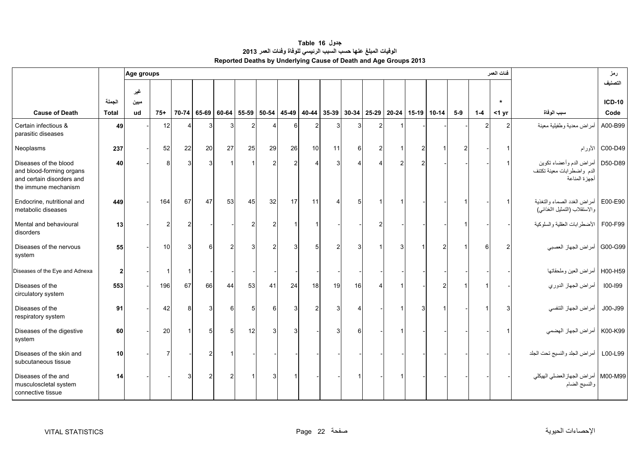| جدول Table 16                                                    |
|------------------------------------------------------------------|
| الوفيات المبلغ عنها حسب السبب الرئيسي للوفاة وفنات العمر 2013    |
| Reported Deaths by Underlying Cause of Death and Age Groups 2013 |

<span id="page-21-0"></span>

|                                                                                                        |                | Age groups  |                |                |                |                |       |                |                |                |                                                                       |    |   |                |                |                |         | فنات العمر     |                                                                        | رمز               |
|--------------------------------------------------------------------------------------------------------|----------------|-------------|----------------|----------------|----------------|----------------|-------|----------------|----------------|----------------|-----------------------------------------------------------------------|----|---|----------------|----------------|----------------|---------|----------------|------------------------------------------------------------------------|-------------------|
|                                                                                                        |                |             |                |                |                |                |       |                |                |                |                                                                       |    |   |                |                |                |         |                |                                                                        | التصنيف           |
|                                                                                                        | الجملة         | غير<br>مبين |                |                |                |                |       |                |                |                |                                                                       |    |   |                |                |                |         | $\star$        |                                                                        | <b>ICD-10</b>     |
| <b>Cause of Death</b>                                                                                  | <b>Total</b>   | ud          | $75+$          |                | 70-74 65-69    | 60-64          | 55-59 |                |                |                | 50-54   45-49   40-44   35-39   30-34   25-29   20-24   15-19   10-14 |    |   |                |                | $5-9$          | $1 - 4$ | $<$ 1 yr       | سبب الوفاة                                                             | Code              |
| Certain infectious &<br>parasitic diseases                                                             | 49             |             | 12             | $\overline{4}$ | 3              | 3              |       |                | 6              | 2              |                                                                       |    |   |                |                |                |         | $\overline{2}$ | أمراض معدية وطفيلية معينة                                              | A00-B99           |
| Neoplasms                                                                                              | 237            |             | 52             | 22             | 20             | 27             | 25    | 29             | 26             | 10             | 11                                                                    | 6  |   | $\overline{2}$ |                |                |         |                |                                                                        | C00-D49   الأورام |
| Diseases of the blood<br>and blood-forming organs<br>and certain disorders and<br>the immune mechanism | 40             |             | 8              | 3              | 3              |                |       | $\overline{2}$ | $\overline{2}$ |                | 3                                                                     |    | 2 | $\mathfrak{p}$ |                |                |         |                | أمراض الدم وأعضاء تكوين<br>الدم واضطرابات معينة تكتنف<br>أجهزة المناعة | D50-D89           |
| Endocrine, nutritional and<br>metabolic diseases                                                       | 449            |             | 164            | 67             | 47             | 53             | 45    | 32             | 17             | 11             | 4                                                                     | 5  |   |                |                |                |         |                | أمراض الغدد الصماء والتغذية<br>والاستقلاب (التمثيل االغذائبي)          | E00-E90           |
| Mental and behavioural<br>disorders                                                                    | 13             |             | $\overline{2}$ | $\overline{2}$ |                |                |       |                |                |                |                                                                       |    |   |                |                |                |         |                | F00-F99   الأضطرابات العقلية والسلوكية                                 |                   |
| Diseases of the nervous<br>system                                                                      | 55             |             | 10             | 3 <sup>1</sup> | 6              | 2              |       | $\overline{c}$ | 3 <sup>1</sup> | $\overline{5}$ | $\overline{2}$                                                        | 3  |   |                | $\overline{2}$ | $\overline{1}$ | 6       | $\overline{c}$ | G00-G99 أمراض الجهاز العصبي                                            |                   |
| Diseases of the Eye and Adnexa                                                                         | $\overline{2}$ |             | -1             | $\overline{1}$ |                |                |       |                |                |                |                                                                       |    |   |                |                |                |         |                | أمراض العين وملحقاتها                                                  | H00-H59           |
| Diseases of the<br>circulatory system                                                                  | 553            |             | 196            | 67             | 66             | 44             | 53    | 41             | 24             | 18             | 19                                                                    | 16 |   |                | $\overline{2}$ |                |         |                | أمراض الجهاز الدوري                                                    | 100-199           |
| Diseases of the<br>respiratory system                                                                  | 91             |             | 42             | 8              | 3              | 6              |       | 6              | 3              | $\mathcal{P}$  | 3                                                                     |    |   | 3              |                |                |         |                | أمراض الجهاز التنفسي                                                   | J00-J99           |
| Diseases of the digestive<br>system                                                                    | 60             |             | 20             | 1              | 5              | 5 <sup>1</sup> | 12    |                |                |                | 3                                                                     | ี  |   |                |                |                |         |                | K00-K99   أمراض الجهاز الهضمي                                          |                   |
| Diseases of the skin and<br>subcutaneous tissue                                                        | 10             |             | $\overline{7}$ |                | 2              |                |       |                |                |                |                                                                       |    |   |                |                |                |         |                | أمراض الجلد والنسيج تحت الجلد                                          | L00-L99           |
| Diseases of the and<br>musculoscletal system<br>connective tissue                                      | 14             |             |                | 3              | $\overline{2}$ | $\overline{2}$ |       |                |                |                |                                                                       |    |   |                |                |                |         |                | M00-M99   أمر اض الجهاز العضلي الهيكلي<br>والنسيج الضام                |                   |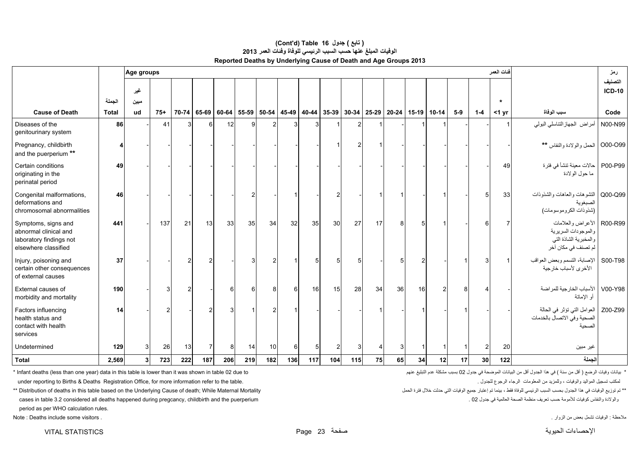|                                                                                                 |              | Age groups     |       |       |            |       |       |       |     |                   |                |     |             |    |                     |                |                 |         | فنات العمر |                                                                                          | رمز                 |
|-------------------------------------------------------------------------------------------------|--------------|----------------|-------|-------|------------|-------|-------|-------|-----|-------------------|----------------|-----|-------------|----|---------------------|----------------|-----------------|---------|------------|------------------------------------------------------------------------------------------|---------------------|
|                                                                                                 | الجملة       | غير            |       |       |            |       |       |       |     |                   |                |     |             |    |                     |                |                 |         | $\star$    |                                                                                          | التصنيف<br>$ICD-10$ |
| <b>Cause of Death</b>                                                                           | <b>Total</b> | ميين<br>ud     | $75+$ | 70-74 | 65-69      | 60-64 | 55-59 | 50-54 |     | 45-49 40-44 35-39 |                |     | 30-34 25-29 |    | $20-24$ 15-19 10-14 |                | $5-9$           | $1 - 4$ | $<$ 1 yr   | سبب الوفاة                                                                               | Code                |
| Diseases of the<br>genitourinary system                                                         | 86           |                | 41    |       | 61         | 12    |       |       |     | 3                 |                |     |             |    |                     |                |                 |         | 1          | أمراض الجهاز التناسلي البولي                                                             | N00-N99             |
| Pregnancy, childbirth<br>and the puerperium **                                                  |              |                |       |       |            |       |       |       |     |                   |                |     |             |    |                     |                |                 |         |            | O00-O99 الحمل والولادة والنفاس **                                                        |                     |
| Certain conditions<br>originating in the<br>perinatal period                                    | 49           |                |       |       |            |       |       |       |     |                   |                |     |             |    |                     |                |                 |         | 49         | P00-P99   حالات معينة تنشأ في فترة<br>ما حول الولادة                                     |                     |
| Congenital malformations,<br>deformations and<br>chromosomal abnormalities                      | 46           |                |       |       |            |       | n     |       |     |                   | $\mathcal{P}$  |     |             |    |                     |                |                 | 5       | 33         | التشوهات والعاهات والشذوذات<br>الصبغوية<br>(شذوذات الكروموسومات)                         | Q00-Q99             |
| Symptoms, signs and<br>abnormal clinical and<br>laboratory findings not<br>elsewhere classified | 441          |                | 137   | 21    | 13         | 33    | 35    | 34    | 32  | 35                | 30             | 27  | 17          | 8  | 5                   |                |                 |         | 7          | الأعراض والعلامات<br>والموجودات السريرية<br>والمخبرية الشاذة التي<br>لم تصنف في مكان أخر | R00-R99             |
| Injury, poisoning and<br>certain other consequences<br>of external causes                       | 37           |                |       |       |            |       |       |       |     |                   |                |     |             |    |                     |                |                 |         |            | الإصابة، التسمم وبعض العواقب<br>الأخرى لأسباب خارجية                                     | S00-T98             |
| External causes of<br>morbidity and mortality                                                   | 190          |                | 3     |       |            | 6     | 6     |       | 6   | 16                | 15             | 28  | 34          | 36 | 16                  | $\overline{2}$ |                 |         |            | V00-Y98   الأسباب الخارجية للمراضة<br>أو الإماتة                                         |                     |
| Factors influencing<br>health status and<br>contact with health<br>services                     | 14           |                | 2     |       |            | 3     |       |       |     |                   |                |     |             |    |                     |                |                 |         |            | Z00-Z99   العوامل التي تؤثر في الحالة<br>الصحية وفي الاتصال بالخدمات<br>لصحية            |                     |
| Undetermined                                                                                    | 129          | 3              | 26    | 13    | 7          | 8     | 14    | 10    | 6   | 5 <sup>5</sup>    | $\overline{2}$ | 3   |             | 3  |                     |                |                 |         | 20         | غير مبين                                                                                 |                     |
| <b>Total</b>                                                                                    | 2,569        | 3 <sup>1</sup> | 723   | 222   | <b>187</b> | 206   | 219   | 182   | 136 | 117               | 104            | 115 | 75          | 65 | 34                  | 12             | 17 <sup>1</sup> | 30      | 122        | الحملة                                                                                   |                     |

#### **Reported Deaths by Underlying Cause of Death and Age Groups 2013 (Cont'd) Table 16 جدول ) تابع( الوفيات المبلغ عنھا حسب السبب الرئيسي للوفاة وفئات العمر <sup>2013</sup>**

\* بيانات وفيات الرضع ( أقل من سنة ) في هذا الجدول أقل من البيانات الموضحة في جدول 02 بسبب مشكلة عدم التبليغ عنهم معنكلة عدم التبليغ عنهم معنكلة عدم التبليغ عنهم معنكلة عدم التبليغ عنهم معنكلة عدم التبليغ عنهم معنكلة عنهم

.<br>لمكتب تسجيل المواليد والوفيات ، وللمزيد من المعلومات الرجاء الرجوع للجدول . under reporting to Births & Deaths Registration Office, for more information refer to the table.

\*\* تم توزيع الوفيات في هذا الجدول بحسب السبب الرئيسي للوفاة فقط ، بينما تم إعتبار جميع الوفيات التي حدثت خلال فترة الحمل المسبب المرئيسي للوفاة فقط ، بينما تم إعتبار جميع الوفيات التي حدثت خلال فترة الحمل المسلم المسلم ال والولادة والنفاس كرفيات للأمومة حسب تعريف منظمة الصحة العالمية في جدول 20 cases in table 3.2 considered all deaths happened during pregcancy, childbirth and the puerperium . والوالادة والنفاس كرفيات للأمومة كعسب تعريف منظ period as per WHO calculation rules. مالحظة : الوفيات تشمل بعض من الزوار . . visitors some include Deaths : Note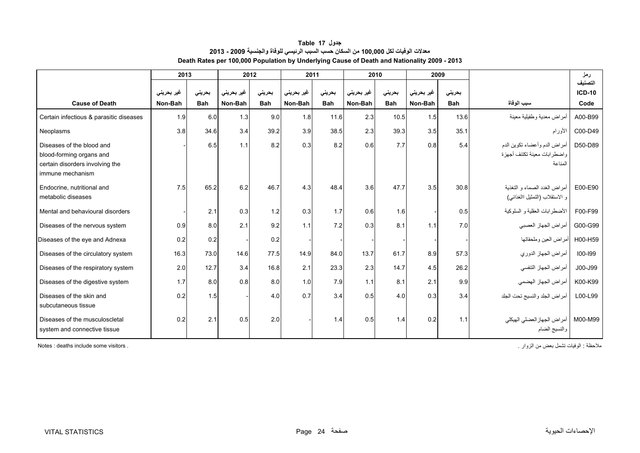<span id="page-23-0"></span>

|                                                                                                              | 2013       |            |                    | 2012       | 2011       |            | 2010       |            | 2009       |            |                                                                        | رمز                      |
|--------------------------------------------------------------------------------------------------------------|------------|------------|--------------------|------------|------------|------------|------------|------------|------------|------------|------------------------------------------------------------------------|--------------------------|
|                                                                                                              | غیر بحرینی | بحرينى     | غیر بحرین <i>ی</i> | بحرينى     | غیر بحرینی | بحرينى     | غير بحريني | بحرينى     | غیر بحرینی | بحرينى     |                                                                        | التصنيف<br><b>ICD-10</b> |
| <b>Cause of Death</b>                                                                                        | Non-Bah    | <b>Bah</b> | Non-Bah            | <b>Bah</b> | Non-Bah    | <b>Bah</b> | Non-Bah    | <b>Bah</b> | Non-Bah    | <b>Bah</b> | سبب الوفاة                                                             | Code                     |
| Certain infectious & parasitic diseases                                                                      | 1.9        | 6.0        | 1.3                | 9.0        | 1.8        | 11.6       | 2.3        | 10.5       | 1.5        | 13.6       | أمراض معدية وطفيلية معينة                                              | A00-B99                  |
| Neoplasms                                                                                                    | 3.8        | 34.6       | 3.4                | 39.2       | 3.9        | 38.5       | 2.3        | 39.3       | 3.5        | 35.1       | الأورام                                                                | C00-D49                  |
| Diseases of the blood and<br>blood-forming organs and<br>certain disorders involving the<br>immune mechanism |            | 6.5        | 1.1                | 8.2        | 0.3        | 8.2        | 0.6        | 7.7        | 0.8        | 5.4        | أمراض الدم وأعضاء تكوين الدم<br>واضطرابات معينة تكتنف أجهزة<br>المناعة | D50-D89                  |
| Endocrine, nutritional and<br>metabolic diseases                                                             | 7.5        | 65.2       | 6.2                | 46.7       | 4.3        | 48.4       | 3.6        | 47.7       | 3.5        | 30.8       | أمر اض الغدد الصماء و التغذية<br>و الاستقلاب (التمثيل االغذائبي)       | E00-E90                  |
| Mental and behavioural disorders                                                                             |            | 2.1        | 0.3                | 1.2        | 0.3        | 1.7        | 0.6        | 1.6        |            | 0.5        | الأضطرابات العقلية و السلوكية                                          | F00-F99                  |
| Diseases of the nervous system                                                                               | 0.9        | 8.0        | 2.1                | 9.2        | 1.1        | 7.2        | 0.3        | 8.1        | 1.1        | 7.0        | أمراض الجهاز العصبي                                                    | G00-G99                  |
| Diseases of the eye and Adnexa                                                                               | 0.2        | 0.2        |                    | 0.2        |            |            |            |            |            |            | أمراض العين وملحقاتها                                                  | H00-H59                  |
| Diseases of the circulatory system                                                                           | 16.3       | 73.0       | 14.6               | 77.5       | 14.9       | 84.0       | 13.7       | 61.7       | 8.9        | 57.3       | أمراض الجهاز الدوري                                                    | $100 - 199$              |
| Diseases of the respiratory system                                                                           | 2.0        | 12.7       | 3.4                | 16.8       | 2.1        | 23.3       | 2.3        | 14.7       | 4.5        | 26.2       | أمراض الجهاز التنفسي                                                   | J00-J99                  |
| Diseases of the digestive system                                                                             | 1.7        | 8.0        | 0.8                | 8.0        | 1.0        | 7.9        | 1.1        | 8.1        | 2.1        | 9.9        | أمراض الجهاز الهضمي                                                    | K00-K99                  |
| Diseases of the skin and<br>subcutaneous tissue                                                              | 0.2        | 1.5        |                    | 4.0        | 0.7        | 3.4        | 0.5        | 4.0        | 0.3        | 3.4        | أمراض الجلد والنسيج تحت الجلد                                          | L00-L99                  |
| Diseases of the musculoscletal<br>system and connective tissue                                               | 0.2        | 2.1        | 0.5                | 2.0        |            | 1.4        | 0.5        | 1.4        | 0.2        | 1.1        | أمراض الجهاز العضلي الهيكلي<br>والنسيج الضام                           | M00-M99                  |

### **جدول 17 Table معدالت الوفيات لكل 100,000 من السكان حسب السبب الرئيسي للوفاة والجنسية 2009 - 2013 Death Rates per 100,000 Population by Underlying Cause of Death and Nationality 2009 - 2013**

مالحظة : الوفيات تشمل بعض من الزوار . . visitors some include deaths : Notes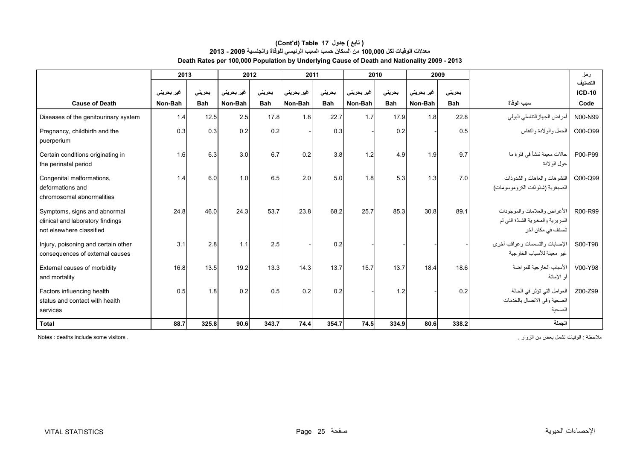#### **Death Rates per 100,000 Population by Underlying Cause of Death and Nationality 2009 - 2013 (Cont'd) Table 17 جدول ) تابع( معدالت الوفيات لكل 100,000 من السكان حسب السبب الرئيسي للوفاة والجنسية 2009 - 2013**

|                                                                                              | 2013       |            |                    | 2012       | 2011       |            | 2010       |            | 2009       |            |                                                                                        | رمز                 |
|----------------------------------------------------------------------------------------------|------------|------------|--------------------|------------|------------|------------|------------|------------|------------|------------|----------------------------------------------------------------------------------------|---------------------|
|                                                                                              | غیر بحرینی | بحريني     | غير بحرين <i>ي</i> | بحريني     | غیر بحرینی | بحريني     | غير بحريني | بحريني     | غیر بحرینی | بحريني     |                                                                                        | التصنيف<br>$ICD-10$ |
| <b>Cause of Death</b>                                                                        | Non-Bah    | <b>Bah</b> | Non-Bah            | <b>Bah</b> | Non-Bah    | <b>Bah</b> | Non-Bah    | <b>Bah</b> | Non-Bah    | <b>Bah</b> | سبب الوفاة                                                                             | Code                |
| Diseases of the genitourinary system                                                         | 1.4        | 12.5       | 2.5                | 17.8       | 1.8        | 22.7       | 1.7        | 17.9       | 1.8        | 22.8       | أمراض الجهاز التناسلي البولي                                                           | N00-N99             |
| Pregnancy, childbirth and the<br>puerperium                                                  | 0.3        | 0.3        | 0.2                | 0.2        |            | 0.3        |            | 0.2        |            | 0.5        | الحمل والولادة والنفاس                                                                 | O00-O99             |
| Certain conditions originating in<br>the perinatal period                                    | 1.6        | 6.3        | 3.0                | 6.7        | 0.2        | 3.8        | 1.2        | 4.9        | 1.9        | 9.7        | حالات معينة تنشأ في فترة ما<br>حول الولادة                                             | P00-P99             |
| Congenital malformations,<br>deformations and<br>chromosomal abnormalities                   | 1.4        | 6.0        | 1.0                | 6.5        | 2.0        | 5.0        | 1.8        | 5.3        | 1.3        | 7.0        | اللتثىوهات والعاهات والشذوذات<br>الصبغوية (شذو ذات الكر و موسو مات)                    | Q00-Q99             |
| Symptoms, signs and abnormal<br>clinical and laboratory findings<br>not elsewhere classified | 24.8       | 46.0       | 24.3               | 53.7       | 23.8       | 68.2       | 25.7       | 85.3       | 30.8       | 89.1       | الأعر اض والعلامات والموجودات<br>السريرية والمخبرية الشاذة التي لم<br>تصنف في مكان آخر | R00-R99             |
| Injury, poisoning and certain other<br>consequences of external causes                       | 3.1        | 2.8        | 1.1                | 2.5        |            | 0.2        |            |            |            |            | الإصابات والتسممات وعواقب أخرى<br>غير معينة للأسباب الخار جية                          | S00-T98             |
| External causes of morbidity<br>and mortality                                                | 16.8       | 13.5       | 19.2               | 13.3       | 14.3       | 13.7       | 15.7       | 13.7       | 18.4       | 18.6       | الأسباب الخار جية للمر اضبة<br>أو الإماتة                                              | V00-Y98             |
| Factors influencing health<br>status and contact with health<br>services                     | 0.5        | 1.8        | 0.2                | 0.5        | 0.2        | 0.2        |            | 1.2        |            | 0.2        | العوامل التي تؤثر في الحالة<br>الصحية وفي الاتصال بالخدمات<br>الصحية                   | Z00-Z99             |
| <b>Total</b>                                                                                 | 88.7       | 325.8      | 90.6               | 343.7      | 74.4       | 354.7      | 74.5       | 334.9      | 80.6       | 338.2      | الجملة                                                                                 |                     |

مالحظة : الوفيات تشمل بعض من الزوار . . visitors some include deaths : Notes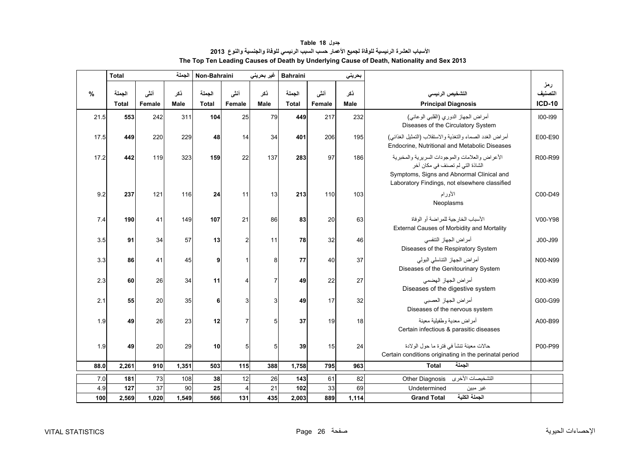<span id="page-25-0"></span>

|      | الجملة<br><b>Total</b> |                |             | Non-Bahraini           |                | غیر بحرینی     | <b>Bahraini</b><br>بحريني |                |                    |                                                                                                                                                                                  |                                 |
|------|------------------------|----------------|-------------|------------------------|----------------|----------------|---------------------------|----------------|--------------------|----------------------------------------------------------------------------------------------------------------------------------------------------------------------------------|---------------------------------|
| %    | الجملة<br><b>Total</b> | أنشى<br>Female | ذكر<br>Male | الجملة<br><b>Total</b> | أننى<br>Female | ذکر<br>Male    | الجملة<br><b>Total</b>    | أننى<br>Female | ذكر<br><b>Male</b> | التشخيص الرئيسي<br><b>Principal Diagnosis</b>                                                                                                                                    | رمز<br>التصنيف<br><b>ICD-10</b> |
| 21.5 | 553                    | 242            | 311         | 104                    | 25             | 79             | 449                       | 217            | 232                | أمراض الجهاز الدوري (القلبي الوعائي)<br>Diseases of the Circulatory System                                                                                                       | 100-199                         |
| 17.5 | 449                    | 220            | 229         | 48                     | 14             | 34             | 401                       | 206            | 195                | أمراض الغدد الصماء والتغذية والاستقلاب (التمثيل الغذائي)<br>Endocrine, Nutritional and Metabolic Diseases                                                                        | E00-E90                         |
| 17.2 | 442                    | 119            | 323         | 159                    | 22             | 137            | 283                       | 97             | 186                | الأعراض والعلامات والموجودات السريرية والمخبرية<br>الشاذة التي لم تصنف في مكان آخر<br>Symptoms, Signs and Abnormal Clinical and<br>Laboratory Findings, not elsewhere classified | R00-R99                         |
| 9.2  | 237                    | 121            | 116         | 24                     | 11             | 13             | 213                       | 110            | 103                | الأورام<br>Neoplasms                                                                                                                                                             | C00-D49                         |
| 7.4  | 190                    | 41             | 149         | 107                    | 21             | 86             | 83                        | 20             | 63                 | الأسباب الخارجية للمر اضة أو الوفاة<br>External Causes of Morbidity and Mortality                                                                                                | V00-Y98                         |
| 3.5  | 91                     | 34             | 57          | 13                     | 2              | 11             | 78                        | 32             | 46                 | أمراض الجهاز التنفسي<br>Diseases of the Respiratory System                                                                                                                       | J00-J99                         |
| 3.3  | 86                     | 41             | 45          | 9                      |                | 8              | 77                        | 40             | 37                 | أمراض الجهاز التناسلي البولي<br>Diseases of the Genitourinary System                                                                                                             | N00-N99                         |
| 2.3  | 60                     | 26             | 34          | 11                     |                | $\overline{7}$ | 49                        | 22             | 27                 | أمراض الجهاز الهضمى<br>Diseases of the digestive system                                                                                                                          | K00-K99                         |
| 2.1  | 55                     | 20             | 35          | 6                      | 3              | 3              | 49                        | 17             | 32                 | أمراض الجهاز العصبي<br>Diseases of the nervous system                                                                                                                            | G00-G99                         |
| 1.9  | 49                     | 26             | 23          | 12                     |                | 5              | 37                        | 19             | 18                 | أمراض معدية وطفيلية معينة<br>Certain infectious & parasitic diseases                                                                                                             | A00-B99                         |
| 1.9  | 49                     | 20             | 29          | 10                     | 5              | 5              | 39                        | 15             | 24                 | حالات معينة تنشأ في فترة ما حول الولادة<br>Certain conditions originating in the perinatal period                                                                                | P00-P99                         |
| 88.0 | 2,261                  | 910            | 1,351       | 503                    | 115            | 388            | 1,758                     | 795            | 963                | الجملة<br><b>Total</b>                                                                                                                                                           |                                 |
| 7.0  | 181                    | 73             | 108         | 38                     | 12             | 26             | 143                       | 61             | 82                 | التشخيصات الأخرى<br>Other Diagnosis                                                                                                                                              |                                 |
| 4.9  | 127                    | 37             | 90          | 25                     | 4              | 21             | 102                       | 33             | 69                 | Undetermined<br>غير مبين                                                                                                                                                         |                                 |
| 100  | 2,569                  | 1,020          | 1,549       | 566                    | 131            | 435            | 2,003                     | 889            | 1,114              | الجملة الكلية<br><b>Grand Total</b>                                                                                                                                              |                                 |

**جدول 18 Table األسباب العشرة الرئيسية للوفاة لجميع األعمار حسب السبب الرئيسي للوفاة والجنسية والنوع<sup>2013</sup> The Top Ten Leading Causes of Death by Underlying Cause of Death, Nationality and Sex 2013**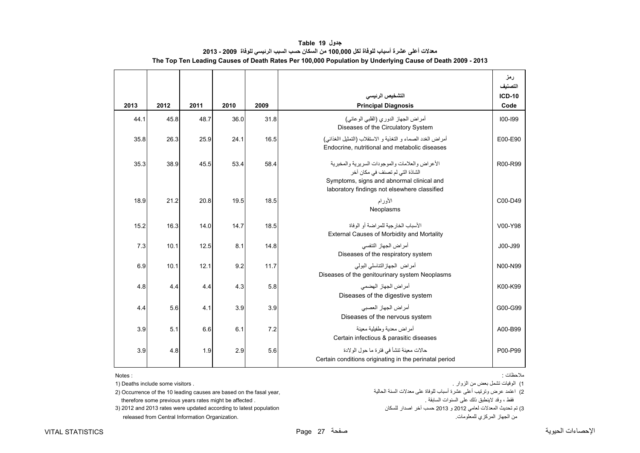<span id="page-26-0"></span>

|      |      |      |      |      | التشخيص الرئيسى                                                                                                                                                                      | رمز<br>التصنيف<br><b>ICD-10</b> |
|------|------|------|------|------|--------------------------------------------------------------------------------------------------------------------------------------------------------------------------------------|---------------------------------|
| 2013 | 2012 | 2011 | 2010 | 2009 | <b>Principal Diagnosis</b>                                                                                                                                                           | Code                            |
| 44.1 | 45.8 | 48.7 | 36.0 | 31.8 | أمراض الجهاز الدوري (القلبي الوعائي)<br>Diseases of the Circulatory System                                                                                                           | 100-199                         |
| 35.8 | 26.3 | 25.9 | 24.1 | 16.5 | أمراض الغدد الصماء و التغذية و الاستقلاب (التمثيل االغذائبي)<br>Endocrine, nutritional and metabolic diseases                                                                        | E00-E90                         |
| 35.3 | 38.9 | 45.5 | 53.4 | 58.4 | الأعر اض والعلامات والموجودات السربر بـة والمخبر بـة<br>الشاذة التي لم تصنف في مكان آخر<br>Symptoms, signs and abnormal clinical and<br>laboratory findings not elsewhere classified | R00-R99                         |
| 18.9 | 21.2 | 20.8 | 19.5 | 18.5 | الأورام<br>Neoplasms                                                                                                                                                                 | C00-D49                         |
| 15.2 | 16.3 | 14.0 | 14.7 | 18.5 | الأسباب الخار حبة للمر اضبة أو الوفاة<br>External Causes of Morbidity and Mortality                                                                                                  | V00-Y98                         |
| 7.3  | 10.1 | 12.5 | 8.1  | 14.8 | أمر اض الجهاز التنفسي<br>Diseases of the respiratory system                                                                                                                          | J00-J99                         |
| 6.9  | 10.1 | 12.1 | 9.2  | 11.7 | أمراض الجهازالنناسلي البولي<br>Diseases of the genitourinary system Neoplasms                                                                                                        | N00-N99                         |
| 4.8  | 4.4  | 4.4  | 4.3  | 5.8  | أمر اض الجهاز الهضمي<br>Diseases of the digestive system                                                                                                                             | K00-K99                         |
| 4.4  | 5.6  | 4.1  | 3.9  | 3.9  | أمراض الجهاز العصبي<br>Diseases of the nervous system                                                                                                                                | G00-G99                         |
| 3.9  | 5.1  | 6.6  | 6.1  | 7.2  | أمر اض معدبة وطفيلية معينة<br>Certain infectious & parasitic diseases                                                                                                                | A00-B99                         |
| 3.9  | 4.8  | 1.9  | 2.9  | 5.6  | حالات معينة تنشأ في فترة ما حول الولادة<br>Certain conditions originating in the perinatal period                                                                                    | P00-P99                         |

**جدول 19 Table معدالت أعلى عشرة أسباب للوفاة لكل 100,000 من السكان حسب السبب الرئيسي للوفاة 2009 - 2013 The Top Ten Leading Causes of Death Rates Per 100,000 Population by Underlying Cause of Death 2009 - 2013**

Notes:

released from Central Information Organization. .للمعلومات المركزي الجھاز من

مالحظات :

1) الوفيات تشمل بعض من الزوار . . visitors some include Deaths) 1 .<br>2) اعتمد عرض وترتيب أعلى عشرة أسباب للوفاة على معدلات السنة الحالية ,yecurrence of the 10 leading causes are based on the fasal year (2 therefore some previous years rates might be affected . . السابقة السنوات على ذلك الينطبق وقد ، فقط 3) تم تحديث المعدلات لعامي 2012 و 2013 حسب آخر اصدار للسكان السكان population 2013 rates were updated according to latest population (3) تم تحديث المعدلات لعامي 2012 and 2013 rates were updated according to latest populat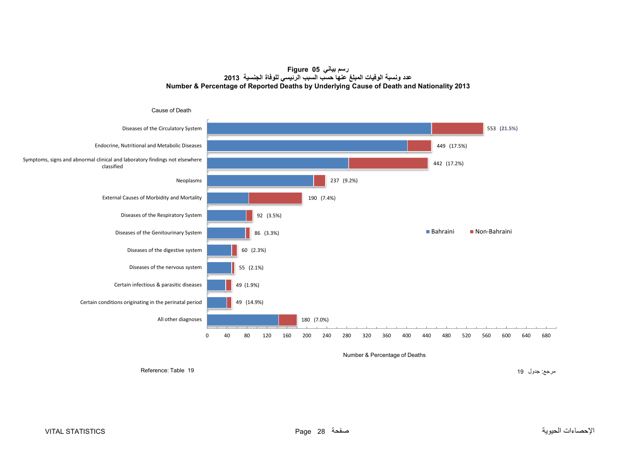**رسم بياني 05 Figure عدد ونسبة الوفيات المبلغ عنھا حسب السبب الرئيسي للوفاة الجنسية <sup>2013</sup> Number & Percentage of Reported Deaths by Underlying Cause of Death and Nationality 2013**

<span id="page-27-0"></span>

Number & Percentage of Deaths

مرجع: جدول 19 1